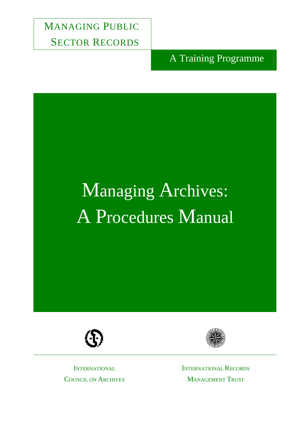MANAGING PUBLIC SECTOR RECORDS

A Training Programme

# Managing Archives: A Procedures Manual





**INTERNATIONAL** COUNCIL ON ARCHIVES INTERNATIONAL RECORDS MANAGEMENT TRUST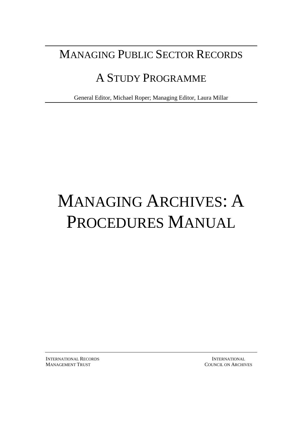## MANAGING PUBLIC SECTOR RECORDS

## A STUDY PROGRAMME

General Editor, Michael Roper; Managing Editor, Laura Millar

# MANAGING ARCHIVES: A PROCEDURES MANUAL

**INTERNATIONAL RECORDS INTERNATIONAL** MANAGEMENT TRUST COUNCIL ON ARCHIVES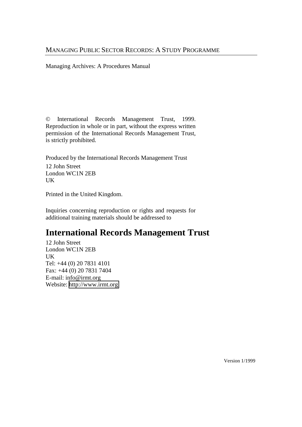#### MANAGING PUBLIC SECTOR RECORDS: A STUDY PROGRAMME

Managing Archives: A Procedures Manual

© International Records Management Trust, 1999. Reproduction in whole or in part, without the express written permission of the International Records Management Trust, is strictly prohibited.

Produced by the International Records Management Trust 12 John Street London WC1N 2EB UK

Printed in the United Kingdom.

Inquiries concerning reproduction or rights and requests for additional training materials should be addressed to

#### **International Records Management Trust**

12 John Street London WC1N 2EB UK Tel: +44 (0) 20 7831 4101 Fax: +44 (0) 20 7831 7404 E-mail: info@irmt.org Website: [http://www.irmt.org](http://www.irmt.org/) 

Version 1/1999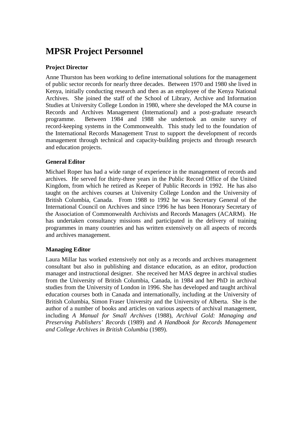#### **MPSR Project Personnel**

#### **Project Director**

Anne Thurston has been working to define international solutions for the management of public sector records for nearly three decades. Between 1970 and 1980 she lived in Kenya, initially conducting research and then as an employee of the Kenya National Archives. She joined the staff of the School of Library, Archive and Information Studies at University College London in 1980, where she developed the MA course in Records and Archives Management (International) and a post-graduate research programme. Between 1984 and 1988 she undertook an onsite survey of record-keeping systems in the Commonwealth. This study led to the foundation of the International Records Management Trust to support the development of records management through technical and capacity-building projects and through research and education projects.

#### **General Editor**

Michael Roper has had a wide range of experience in the management of records and archives. He served for thirty-three years in the Public Record Office of the United Kingdom, from which he retired as Keeper of Public Records in 1992. He has also taught on the archives courses at University College London and the University of British Columbia, Canada. From 1988 to 1992 he was Secretary General of the International Council on Archives and since 1996 he has been Honorary Secretary of the Association of Commonwealth Archivists and Records Managers (ACARM). He has undertaken consultancy missions and participated in the delivery of training programmes in many countries and has written extensively on all aspects of records and archives management.

#### **Managing Editor**

Laura Millar has worked extensively not only as a records and archives management consultant but also in publishing and distance education, as an editor, production manager and instructional designer. She received her MAS degree in archival studies from the University of British Columbia, Canada, in 1984 and her PhD in archival studies from the University of London in 1996. She has developed and taught archival education courses both in Canada and internationally, including at the University of British Columbia, Simon Fraser University and the University of Alberta. She is the author of a number of books and articles on various aspects of archival management, including *A Manual for Small Archives* (1988), *Archival Gold: Managing and Preserving Publishers' Records* (1989) and *A Handbook for Records Management and College Archives in British Columbia* (1989).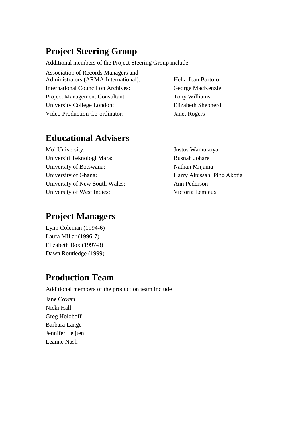#### **Project Steering Group**

Additional members of the Project Steering Group include

Association of Records Managers and Administrators (ARMA International): Hella Jean Bartolo International Council on Archives: George MacKenzie Project Management Consultant: Tony Williams University College London: Elizabeth Shepherd Video Production Co-ordinator: Janet Rogers

#### **Educational Advisers**

Moi University: Justus Wamukoya Universiti Teknologi Mara: Rusnah Johare University of Botswana: Nathan Mnjama University of Ghana: Harry Akussah, Pino Akotia University of New South Wales: Ann Pederson University of West Indies: Victoria Lemieux

#### **Project Managers**

Lynn Coleman (1994-6) Laura Millar (1996-7) Elizabeth Box (1997-8) Dawn Routledge (1999)

#### **Production Team**

Additional members of the production team include Jane Cowan Nicki Hall Greg Holoboff Barbara Lange Jennifer Leijten Leanne Nash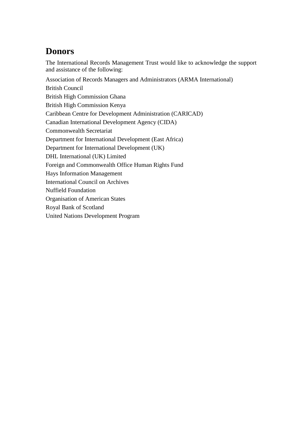#### **Donors**

The International Records Management Trust would like to acknowledge the support and assistance of the following:

Association of Records Managers and Administrators (ARMA International) British Council British High Commission Ghana British High Commission Kenya Caribbean Centre for Development Administration (CARICAD) Canadian International Development Agency (CIDA) Commonwealth Secretariat Department for International Development (East Africa) Department for International Development (UK) DHL International (UK) Limited Foreign and Commonwealth Office Human Rights Fund Hays Information Management International Council on Archives Nuffield Foundation Organisation of American States Royal Bank of Scotland United Nations Development Program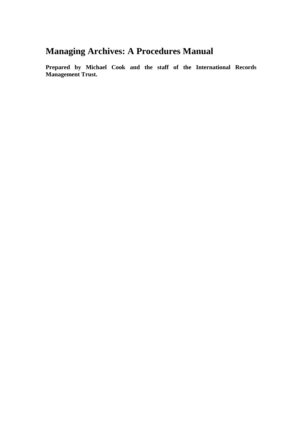#### **Managing Archives: A Procedures Manual**

**Prepared by Michael Cook and the staff of the International Records Management Trust.**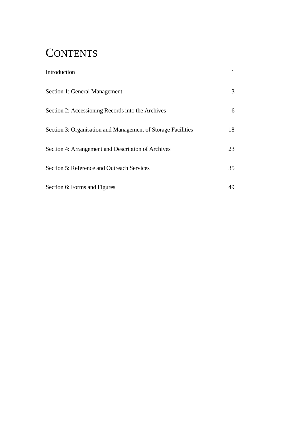## **CONTENTS**

| Introduction                                                 |    |
|--------------------------------------------------------------|----|
| Section 1: General Management                                | 3  |
| Section 2: Accessioning Records into the Archives            | 6  |
| Section 3: Organisation and Management of Storage Facilities | 18 |
| Section 4: Arrangement and Description of Archives           | 23 |
| <b>Section 5: Reference and Outreach Services</b>            | 35 |
| Section 6: Forms and Figures                                 | 49 |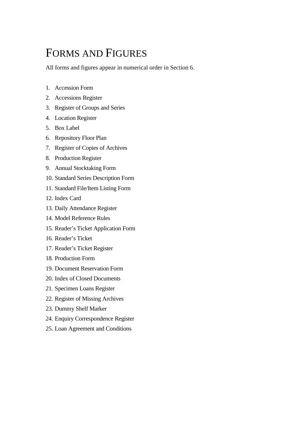## FORMS AND FIGURES

All forms and figures appear in numerical order in Section 6.

- 1. Accession Form
- 2. Accessions Register
- 3. Register of Groups and Series
- 4. Location Register
- 5. Box Label
- 6. Repository Floor Plan
- 7. Register of Copies of Archives
- 8. Production Register
- 9. Annual Stocktaking Form
- 10. Standard Series Description Form
- 11. Standard File/Item Listing Form
- 12. Index Card
- 13. Daily Attendance Register
- 14. Model Reference Rules
- 15. Reader's Ticket Application Form
- 16. Reader's Ticket
- 17. Reader's Ticket Register
- 18. Production Form
- 19. Document Reservation Form
- 20. Index of Closed Documents
- 21. Specimen Loans Register
- 22. Register of Missing Archives
- 23. Dummy Shelf Marker
- 24. Enquiry Correspondence Register
- 25. Loan Agreement and Conditions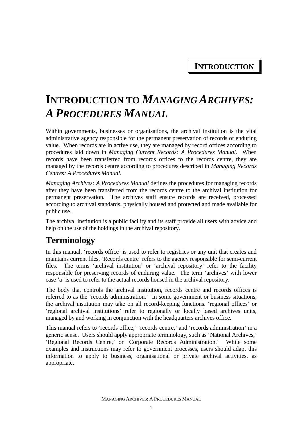**INTRODUCTION**

## **INTRODUCTION TO** *MANAGING ARCHIVES: APROCEDURES MANUAL*

Within governments, businesses or organisations, the archival institution is the vital administrative agency responsible for the permanent preservation of records of enduring value. When records are in active use, they are managed by record offices according to procedures laid down in *Managing Current Records: A Procedures Manual.* When records have been transferred from records offices to the records centre, they are managed by the records centre according to procedures described in *Managing Records Centres: A Procedures Manual.*

*Managing Archives: A Procedures Manual* defines the procedures for managing records after they have been transferred from the records centre to the archival institution for permanent preservation. The archives staff ensure records are received, processed according to archival standards, physically housed and protected and made available for public use.

The archival institution is a public facility and its staff provide all users with advice and help on the use of the holdings in the archival repository.

#### **Terminology**

In this manual, 'records office' is used to refer to registries or any unit that creates and maintains current files. 'Records centre' refers to the agency responsible for semi-current files. The terms 'archival institution' or 'archival repository' refer to the facility responsible for preserving records of enduring value. The term 'archives' with lower case 'a' is used to refer to the actual records housed in the archival repository.

The body that controls the archival institution, records centre and records offices is referred to as the 'records administration.' In some government or business situations, the archival institution may take on all record-keeping functions. 'regional offices' or 'regional archival institutions' refer to regionally or locally based archives units, managed by and working in conjunction with the headquarters archives office.

This manual refers to 'records office,' 'records centre,' and 'records administration' in a generic sense. Users should apply appropriate terminology, such as 'National Archives,' 'Regional Records Centre,' or 'Corporate Records Administration.' While some examples and instructions may refer to government processes, users should adapt this information to apply to business, organisational or private archival activities, as appropriate.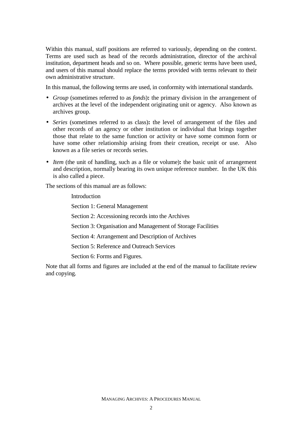Within this manual, staff positions are referred to variously, depending on the context. Terms are used such as head of the records administration, director of the archival institution, department heads and so on. Where possible, generic terms have been used, and users of this manual should replace the terms provided with terms relevant to their own administrative structure.

In this manual, the following terms are used, in conformity with international standards.

- *Group* (sometimes referred to as *fonds*)**:** the primary division in the arrangement of archives at the level of the independent originating unit or agency. Also known as archives group.
- *Series* (sometimes referred to as class)**:** the level of arrangement of the files and other records of an agency or other institution or individual that brings together those that relate to the same function or activity or have some common form or have some other relationship arising from their creation, receipt or use. Also known as a file series or records series.
- *Item* (the unit of handling, such as a file or volume)**:** the basic unit of arrangement and description, normally bearing its own unique reference number. In the UK this is also called a piece.

The sections of this manual are as follows:

Introduction Section 1: General Management Section 2: Accessioning records into the Archives Section 3: Organisation and Management of Storage Facilities Section 4: Arrangement and Description of Archives Section 5: Reference and Outreach Services Section 6: Forms and Figures.

Note that all forms and figures are included at the end of the manual to facilitate review and copying.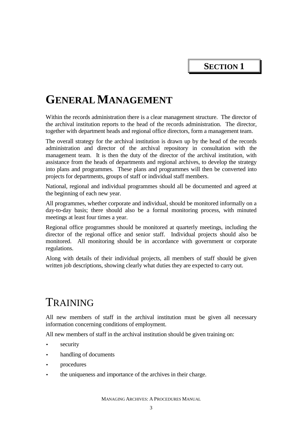**SECTION 1** 

## **GENERAL MANAGEMENT**

Within the records administration there is a clear management structure. The director of the archival institution reports to the head of the records administration. The director, together with department heads and regional office directors, form a management team.

The overall strategy for the archival institution is drawn up by the head of the records administration and director of the archival repository in consultation with the management team. It is then the duty of the director of the archival institution, with assistance from the heads of departments and regional archives, to develop the strategy into plans and programmes. These plans and programmes will then be converted into projects for departments, groups of staff or individual staff members.

National, regional and individual programmes should all be documented and agreed at the beginning of each new year.

All programmes, whether corporate and individual, should be monitored informally on a day-to-day basis; there should also be a formal monitoring process, with minuted meetings at least four times a year.

Regional office programmes should be monitored at quarterly meetings, including the director of the regional office and senior staff. Individual projects should also be monitored. All monitoring should be in accordance with government or corporate regulations.

Along with details of their individual projects, all members of staff should be given written job descriptions, showing clearly what duties they are expected to carry out.

#### TRAINING

All new members of staff in the archival institution must be given all necessary information concerning conditions of employment.

All new members of staff in the archival institution should be given training on:

- security
- handling of documents
- procedures
- the uniqueness and importance of the archives in their charge.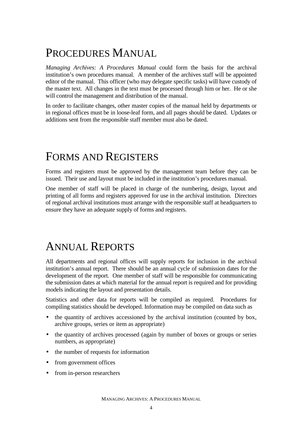## PROCEDURES MANUAL

*Managing Archives: A Procedures Manual* could form the basis for the archival institution's own procedures manual. A member of the archives staff will be appointed editor of the manual. This officer (who may delegate specific tasks) will have custody of the master text. All changes in the text must be processed through him or her. He or she will control the management and distribution of the manual.

In order to facilitate changes, other master copies of the manual held by departments or in regional offices must be in loose-leaf form, and all pages should be dated. Updates or additions sent from the responsible staff member must also be dated.

## FORMS AND REGISTERS

Forms and registers must be approved by the management team before they can be issued. Their use and layout must be included in the institution's procedures manual*.* 

One member of staff will be placed in charge of the numbering, design, layout and printing of all forms and registers approved for use in the archival institution. Directors of regional archival institutions must arrange with the responsible staff at headquarters to ensure they have an adequate supply of forms and registers.

## ANNUAL REPORTS

All departments and regional offices will supply reports for inclusion in the archival institution's annual report. There should be an annual cycle of submission dates for the development of the report*.* One member of staff will be responsible for communicating the submission dates at which material for the annual report is required and for providing models indicating the layout and presentation details.

Statistics and other data for reports will be compiled as required. Procedures for compiling statistics should be developed. Information may be compiled on data such as

- the quantity of archives accessioned by the archival institution (counted by box, archive groups, series or item as appropriate)
- the quantity of archives processed (again by number of boxes or groups or series numbers, as appropriate)
- the number of requests for information
- from government offices
- from in-person researchers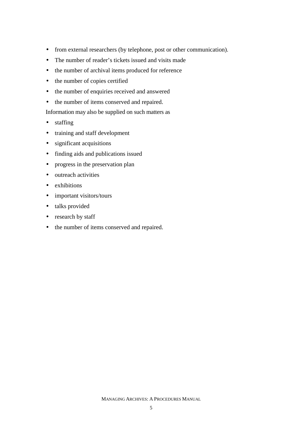- from external researchers (by telephone, post or other communication).
- The number of reader's tickets issued and visits made
- the number of archival items produced for reference
- the number of copies certified
- the number of enquiries received and answered
- the number of items conserved and repaired.

Information may also be supplied on such matters as

- staffing
- training and staff development
- significant acquisitions
- finding aids and publications issued
- progress in the preservation plan
- outreach activities
- exhibitions
- important visitors/tours
- talks provided
- research by staff
- the number of items conserved and repaired.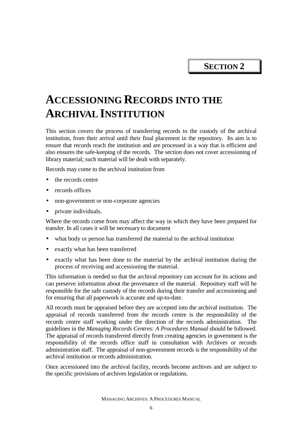**SECTION 2** 

## **ACCESSIONING RECORDS INTO THE ARCHIVAL INSTITUTION**

This section covers the process of transferring records to the custody of the archival institution, from their arrival until their final placement in the repository. Its aim is to ensure that records reach the institution and are processed in a way that is efficient and also ensures the safe-keeping of the records. The section does not cover accessioning of library material; such material will be dealt with separately.

Records may come to the archival institution from

- the records centre
- records offices
- non-government or non-corporate agencies
- private individuals.

Where the records come from may affect the way in which they have been prepared for transfer. In all cases it will be necessary to document

- what body or person has transferred the material to the archival institution
- exactly what has been transferred
- exactly what has been done to the material by the archival institution during the process of receiving and accessioning the material.

This information is needed so that the archival repository can account for its actions and can preserve information about the provenance of the material. Repository staff will be responsible for the safe custody of the records during their transfer and accessioning and for ensuring that all paperwork is accurate and up-to-date.

All records must be appraised before they are accepted into the archival institution. The appraisal of records transferred from the records centre is the responsibility of the records centre staff working under the direction of the records administration. The guidelines in the *Managing Records Centres: A Procedures Manual* should be followed. The appraisal of records transferred directly from creating agencies in government is the responsibility of the records office staff in consultation with Archives or records administration staff. The appraisal of non-government records is the responsibility of the archival institution or records administration.

Once accessioned into the archival facility, records become archives and are subject to the specific provisions of archives legislation or regulations.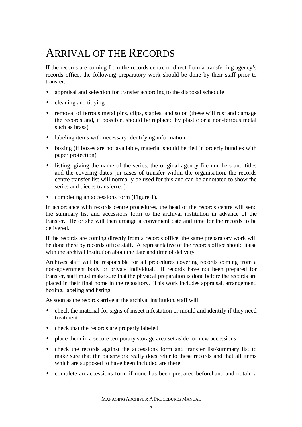## ARRIVAL OF THE RECORDS

If the records are coming from the records centre or direct from a transferring agency's records office, the following preparatory work should be done by their staff prior to transfer:

- appraisal and selection for transfer according to the disposal schedule
- cleaning and tidying
- removal of ferrous metal pins, clips, staples, and so on (these will rust and damage the records and, if possible, should be replaced by plastic or a non-ferrous metal such as brass)
- labeling items with necessary identifying information
- boxing (if boxes are not available, material should be tied in orderly bundles with paper protection)
- listing, giving the name of the series, the original agency file numbers and titles and the covering dates (in cases of transfer within the organisation, the records centre transfer list will normally be used for this and can be annotated to show the series and pieces transferred)
- completing an accessions form (Figure 1).

In accordance with records centre procedures, the head of the records centre will send the summary list and accessions form to the archival institution in advance of the transfer. He or she will then arrange a convenient date and time for the records to be delivered.

If the records are coming directly from a records office, the same preparatory work will be done there by records office staff. A representative of the records office should liaise with the archival institution about the date and time of delivery.

Archives staff will be responsible for all procedures covering records coming from a non-government body or private individual. If records have not been prepared for transfer, staff must make sure that the physical preparation is done before the records are placed in their final home in the repository. This work includes appraisal, arrangement, boxing, labeling and listing.

As soon as the records arrive at the archival institution, staff will

- check the material for signs of insect infestation or mould and identify if they need treatment
- check that the records are properly labeled
- place them in a secure temporary storage area set aside for new accessions
- check the records against the accessions form and transfer list/summary list to make sure that the paperwork really does refer to these records and that all items which are supposed to have been included are there
- complete an accessions form if none has been prepared beforehand and obtain a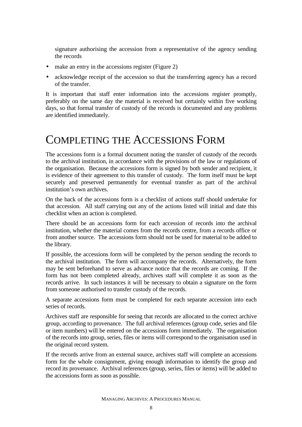signature authorising the accession from a representative of the agency sending the records

- make an entry in the accessions register (Figure 2)
- acknowledge receipt of the accession so that the transferring agency has a record of the transfer.

It is important that staff enter information into the accessions register promptly, preferably on the same day the material is received but certainly within five working days, so that formal transfer of custody of the records is documented and any problems are identified immediately.

#### COMPLETING THE ACCESSIONS FORM

The accessions form is a formal document noting the transfer of custody of the records to the archival institution, in accordance with the provisions of the law or regulations of the organisation. Because the accessions form is signed by both sender and recipient, it is evidence of their agreement to this transfer of custody. The form itself must be kept securely and preserved permanently for eventual transfer as part of the archival institution's own archives.

On the back of the accessions form is a checklist of actions staff should undertake for that accession. All staff carrying out any of the actions listed will initial and date this checklist when an action is completed.

There should be an accessions form for each accession of records into the archival institution, whether the material comes from the records centre, from a records office or from another source. The accessions form should not be used for material to be added to the library.

If possible, the accessions form will be completed by the person sending the records to the archival institution. The form will accompany the records. Alternatively, the form may be sent beforehand to serve as advance notice that the records are coming. If the form has not been completed already, archives staff will complete it as soon as the records arrive. In such instances it will be necessary to obtain a signature on the form from someone authorised to transfer custody of the records.

A separate accessions form must be completed for each separate accession into each series of records.

Archives staff are responsible for seeing that records are allocated to the correct archive group, according to provenance. The full archival references (group code, series and file or item numbers) will be entered on the accessions form immediately. The organisation of the records into group, series, files or items will correspond to the organisation used in the original record system.

If the records arrive from an external source, archives staff will complete an accessions form for the whole consignment, giving enough information to identify the group and record its provenance. Archival references (group, series, files or items) will be added to the accessions form as soon as possible.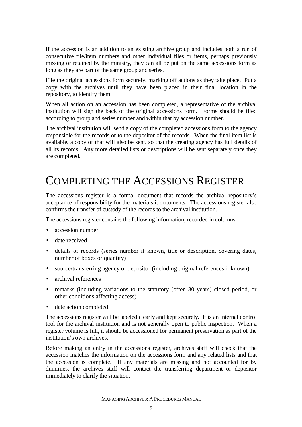If the accession is an addition to an existing archive group and includes both a run of consecutive file/item numbers and other individual files or items, perhaps previously missing or retained by the ministry, they can all be put on the same accessions form as long as they are part of the same group and series.

File the original accessions form securely, marking off actions as they take place. Put a copy with the archives until they have been placed in their final location in the repository, to identify them.

When all action on an accession has been completed, a representative of the archival institution will sign the back of the original accessions form. Forms should be filed according to group and series number and within that by accession number.

The archival institution will send a copy of the completed accessions form to the agency responsible for the records or to the depositor of the records. When the final item list is available, a copy of that will also be sent, so that the creating agency has full details of all its records. Any more detailed lists or descriptions will be sent separately once they are completed.

## COMPLETING THE ACCESSIONS REGISTER

The accessions register is a formal document that records the archival repository's acceptance of responsibility for the materials it documents. The accessions register also confirms the transfer of custody of the records to the archival institution.

The accessions register contains the following information, recorded in columns:

- accession number
- date received
- details of records (series number if known, title or description, covering dates, number of boxes or quantity)
- source/transferring agency or depositor (including original references if known)
- archival references
- remarks (including variations to the statutory (often 30 years) closed period, or other conditions affecting access)
- date action completed.

The accessions register will be labeled clearly and kept securely. It is an internal control tool for the archival institution and is not generally open to public inspection. When a register volume is full, it should be accessioned for permanent preservation as part of the institution's own archives.

Before making an entry in the accessions register, archives staff will check that the accession matches the information on the accessions form and any related lists and that the accession is complete. If any materials are missing and not accounted for by dummies, the archives staff will contact the transferring department or depositor immediately to clarify the situation.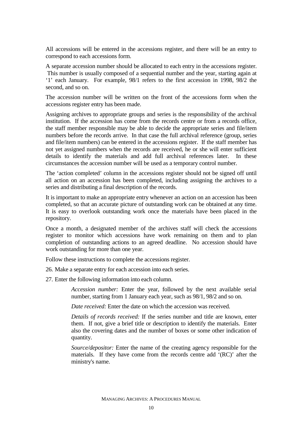All accessions will be entered in the accessions register, and there will be an entry to correspond to each accessions form.

A separate accession number should be allocated to each entry in the accessions register. This number is usually composed of a sequential number and the year, starting again at '1' each January. For example, 98/1 refers to the first accession in 1998, 98/2 the second, and so on.

The accession number will be written on the front of the accessions form when the accessions register entry has been made.

Assigning archives to appropriate groups and series is the responsibility of the archival institution. If the accession has come from the records centre or from a records office, the staff member responsible may be able to decide the appropriate series and file/item numbers before the records arrive. In that case the full archival reference (group, series and file/item numbers) can be entered in the accessions register. If the staff member has not yet assigned numbers when the records are received, he or she will enter sufficient details to identify the materials and add full archival references later. In these circumstances the accession number will be used as a temporary control number.

The 'action completed' column in the accessions register should not be signed off until all action on an accession has been completed, including assigning the archives to a series and distributing a final description of the records.

It is important to make an appropriate entry whenever an action on an accession has been completed, so that an accurate picture of outstanding work can be obtained at any time. It is easy to overlook outstanding work once the materials have been placed in the repository.

Once a month, a designated member of the archives staff will check the accessions register to monitor which accessions have work remaining on them and to plan completion of outstanding actions to an agreed deadline. No accession should have work outstanding for more than one year.

Follow these instructions to complete the accessions register.

- 26. Make a separate entry for each accession into each series.
- 27. Enter the following information into each column.

*Accession number:* Enter the year, followed by the next available serial number, starting from 1 January each year, such as 98/1, 98/2 and so on.

*Date received:* Enter the date on which the accession was received.

*Details of records received:* If the series number and title are known, enter them. If not, give a brief title or description to identify the materials. Enter also the covering dates and the number of boxes or some other indication of quantity.

*Source/depositor:* Enter the name of the creating agency responsible for the materials. If they have come from the records centre add '(RC)' after the ministry's name.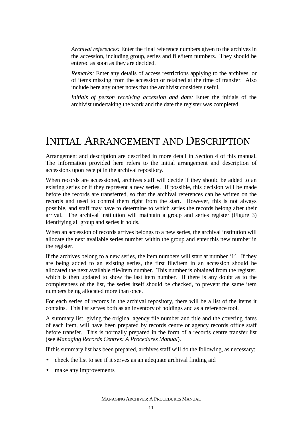*Archival references:* Enter the final reference numbers given to the archives in the accession, including group, series and file/item numbers. They should be entered as soon as they are decided.

*Remarks:* Enter any details of access restrictions applying to the archives, or of items missing from the accession or retained at the time of transfer. Also include here any other notes that the archivist considers useful.

*Initials of person receiving accession and date:* Enter the initials of the archivist undertaking the work and the date the register was completed.

#### INITIAL ARRANGEMENT AND DESCRIPTION

Arrangement and description are described in more detail in Section 4 of this manual. The information provided here refers to the initial arrangement and description of accessions upon receipt in the archival repository.

When records are accessioned, archives staff will decide if they should be added to an existing series or if they represent a new series. If possible, this decision will be made before the records are transferred, so that the archival references can be written on the records and used to control them right from the start. However, this is not always possible, and staff may have to determine to which series the records belong after their arrival. The archival institution will maintain a group and series register (Figure 3) identifying all group and series it holds.

When an accession of records arrives belongs to a new series, the archival institution will allocate the next available series number within the group and enter this new number in the register.

If the archives belong to a new series, the item numbers will start at number '1'. If they are being added to an existing series, the first file/item in an accession should be allocated the next available file/item number. This number is obtained from the register, which is then updated to show the last item number. If there is any doubt as to the completeness of the list, the series itself should be checked, to prevent the same item numbers being allocated more than once.

For each series of records in the archival repository, there will be a list of the items it contains. This list serves both as an inventory of holdings and as a reference tool.

A summary list, giving the original agency file number and title and the covering dates of each item, will have been prepared by records centre or agency records office staff before transfer. This is normally prepared in the form of a records centre transfer list (see *Managing Records Centres: A Procedures Manual*).

If this summary list has been prepared, archives staff will do the following, as necessary:

- check the list to see if it serves as an adequate archival finding aid
- make any improvements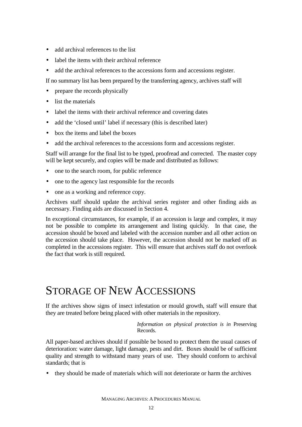- add archival references to the list
- label the items with their archival reference
- add the archival references to the accessions form and accessions register.

If no summary list has been prepared by the transferring agency, archives staff will

- prepare the records physically
- list the materials
- label the items with their archival reference and covering dates
- add the 'closed until' label if necessary (this is described later)
- box the items and label the boxes
- add the archival references to the accessions form and accessions register.

Staff will arrange for the final list to be typed, proofread and corrected. The master copy will be kept securely, and copies will be made and distributed as follows:

- one to the search room, for public reference
- one to the agency last responsible for the records
- one as a working and reference copy.

Archives staff should update the archival series register and other finding aids as necessary. Finding aids are discussed in Section 4.

In exceptional circumstances, for example, if an accession is large and complex, it may not be possible to complete its arrangement and listing quickly. In that case, the accession should be boxed and labeled with the accession number and all other action on the accession should take place. However, the accession should not be marked off as completed in the accessions register. This will ensure that archives staff do not overlook the fact that work is still required.

## STORAGE OF NEW ACCESSIONS

If the archives show signs of insect infestation or mould growth, staff will ensure that they are treated before being placed with other materials in the repository.

> *Information on physical protection is in* Preserving Records.

All paper-based archives should if possible be boxed to protect them the usual causes of deterioration: water damage, light damage, pests and dirt. Boxes should be of sufficient quality and strength to withstand many years of use. They should conform to archival standards; that is

• they should be made of materials which will not deteriorate or harm the archives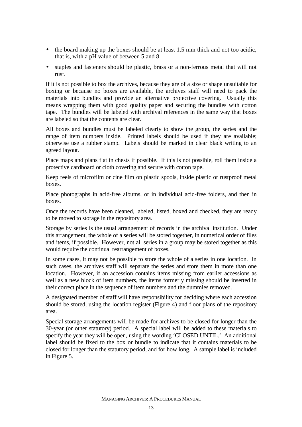- the board making up the boxes should be at least 1.5 mm thick and not too acidic, that is, with a pH value of between 5 and 8
- staples and fasteners should be plastic, brass or a non-ferrous metal that will not rust.

If it is not possible to box the archives, because they are of a size or shape unsuitable for boxing or because no boxes are available, the archives staff will need to pack the materials into bundles and provide an alternative protective covering. Usually this means wrapping them with good quality paper and securing the bundles with cotton tape. The bundles will be labeled with archival references in the same way that boxes are labeled so that the contents are clear.

All boxes and bundles must be labeled clearly to show the group, the series and the range of item numbers inside. Printed labels should be used if they are available; otherwise use a rubber stamp. Labels should be marked in clear black writing to an agreed layout.

Place maps and plans flat in chests if possible. If this is not possible, roll them inside a protective cardboard or cloth covering and secure with cotton tape.

Keep reels of microfilm or cine film on plastic spools, inside plastic or rustproof metal boxes.

Place photographs in acid-free albums, or in individual acid-free folders, and then in boxes.

Once the records have been cleaned, labeled, listed, boxed and checked, they are ready to be moved to storage in the repository area.

Storage by series is the usual arrangement of records in the archival institution. Under this arrangement, the whole of a series will be stored together, in numerical order of files and items, if possible. However, not all series in a group may be stored together as this would require the continual rearrangement of boxes.

In some cases, it may not be possible to store the whole of a series in one location. In such cases, the archives staff will separate the series and store them in more than one location. However, if an accession contains items missing from earlier accessions as well as a new block of item numbers, the items formerly missing should be inserted in their correct place in the sequence of item numbers and the dummies removed.

A designated member of staff will have responsibility for deciding where each accession should be stored, using the location register (Figure 4) and floor plans of the repository area.

Special storage arrangements will be made for archives to be closed for longer than the 30-year (or other statutory) period. A special label will be added to these materials to specify the year they will be open, using the wording 'CLOSED UNTIL.' An additional label should be fixed to the box or bundle to indicate that it contains materials to be closed for longer than the statutory period, and for how long. A sample label is included in Figure 5.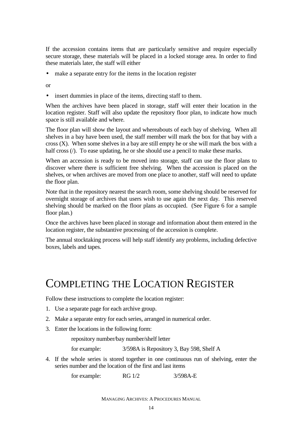If the accession contains items that are particularly sensitive and require especially secure storage, these materials will be placed in a locked storage area. In order to find these materials later, the staff will either

• make a separate entry for the items in the location register

or

• insert dummies in place of the items, directing staff to them.

When the archives have been placed in storage, staff will enter their location in the location register. Staff will also update the repository floor plan, to indicate how much space is still available and where.

The floor plan will show the layout and whereabouts of each bay of shelving. When all shelves in a bay have been used, the staff member will mark the box for that bay with a cross  $(X)$ . When some shelves in a bay are still empty he or she will mark the box with a half cross ( $\ell$ ). To ease updating, he or she should use a pencil to make these marks.

When an accession is ready to be moved into storage, staff can use the floor plans to discover where there is sufficient free shelving. When the accession is placed on the shelves, or when archives are moved from one place to another, staff will need to update the floor plan.

Note that in the repository nearest the search room, some shelving should be reserved for overnight storage of archives that users wish to use again the next day. This reserved shelving should be marked on the floor plans as occupied. (See Figure 6 for a sample floor plan.)

Once the archives have been placed in storage and information about them entered in the location register, the substantive processing of the accession is complete.

The annual stocktaking process will help staff identify any problems, including defective boxes, labels and tapes.

## COMPLETING THE LOCATION REGISTER

Follow these instructions to complete the location register:

- 1. Use a separate page for each archive group.
- 2. Make a separate entry for each series, arranged in numerical order.
- 3. Enter the locations in the following form:

repository number/bay number/shelf letter

for example: 3/598A is Repository 3, Bay 598, Shelf A

4. If the whole series is stored together in one continuous run of shelving, enter the series number and the location of the first and last items

for example: RG 1/2 3/598A-E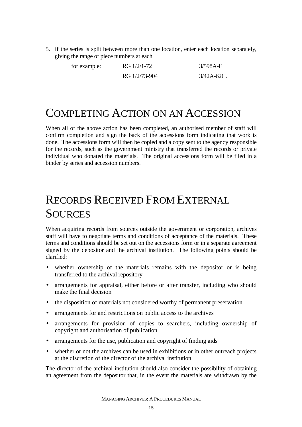5. If the series is split between more than one location, enter each location separately, giving the range of piece numbers at each

| for example: | RG 1/2/1-72   | $3/598A-E$    |
|--------------|---------------|---------------|
|              | RG 1/2/73-904 | $3/42A-62C$ . |

## COMPLETING ACTION ON AN ACCESSION

When all of the above action has been completed, an authorised member of staff will confirm completion and sign the back of the accessions form indicating that work is done. The accessions form will then be copied and a copy sent to the agency responsible for the records, such as the government ministry that transferred the records or private individual who donated the materials. The original accessions form will be filed in a binder by series and accession numbers.

## RECORDS RECEIVED FROM EXTERNAL **SOURCES**

When acquiring records from sources outside the government or corporation, archives staff will have to negotiate terms and conditions of acceptance of the materials. These terms and conditions should be set out on the accessions form or in a separate agreement signed by the depositor and the archival institution. The following points should be clarified:

- whether ownership of the materials remains with the depositor or is being transferred to the archival repository
- arrangements for appraisal, either before or after transfer, including who should make the final decision
- the disposition of materials not considered worthy of permanent preservation
- arrangements for and restrictions on public access to the archives
- arrangements for provision of copies to searchers, including ownership of copyright and authorisation of publication
- arrangements for the use, publication and copyright of finding aids
- whether or not the archives can be used in exhibitions or in other outreach projects at the discretion of the director of the archival institution.

The director of the archival institution should also consider the possibility of obtaining an agreement from the depositor that, in the event the materials are withdrawn by the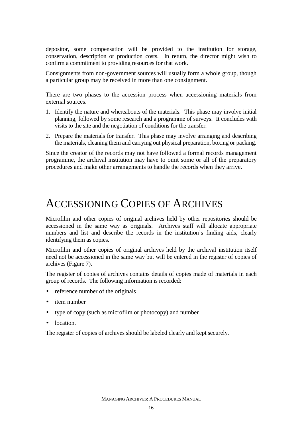depositor, some compensation will be provided to the institution for storage, conservation, description or production costs. In return, the director might wish to confirm a commitment to providing resources for that work.

Consignments from non-government sources will usually form a whole group*,* though a particular group may be received in more than one consignment.

There are two phases to the accession process when accessioning materials from external sources.

- 1. Identify the nature and whereabouts of the materials. This phase may involve initial planning, followed by some research and a programme of surveys. It concludes with visits to the site and the negotiation of conditions for the transfer.
- 2. Prepare the materials for transfer. This phase may involve arranging and describing the materials, cleaning them and carrying out physical preparation, boxing or packing.

Since the creator of the records may not have followed a formal records management programme, the archival institution may have to omit some or all of the preparatory procedures and make other arrangements to handle the records when they arrive.

## ACCESSIONING COPIES OF ARCHIVES

Microfilm and other copies of original archives held by other repositories should be accessioned in the same way as originals. Archives staff will allocate appropriate numbers and list and describe the records in the institution's finding aids, clearly identifying them as copies.

Microfilm and other copies of original archives held by the archival institution itself need not be accessioned in the same way but will be entered in the register of copies of archives (Figure 7).

The register of copies of archives contains details of copies made of materials in each group of records. The following information is recorded:

- reference number of the originals
- item number
- type of copy (such as microfilm or photocopy) and number
- location.

The register of copies of archives should be labeled clearly and kept securely.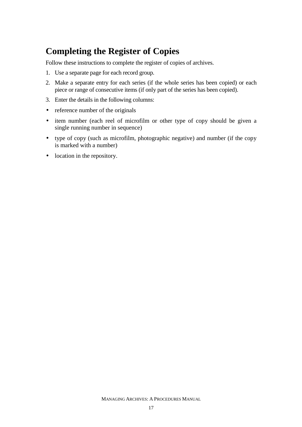#### **Completing the Register of Copies**

Follow these instructions to complete the register of copies of archives.

- 1. Use a separate page for each record group.
- 2. Make a separate entry for each series (if the whole series has been copied) or each piece or range of consecutive items (if only part of the series has been copied).
- 3. Enter the details in the following columns:
- reference number of the originals
- item number (each reel of microfilm or other type of copy should be given a single running number in sequence)
- type of copy (such as microfilm, photographic negative) and number (if the copy is marked with a number)
- location in the repository.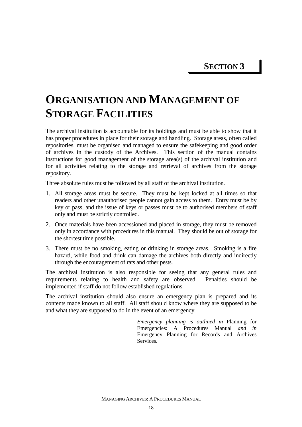**SECTION 3** 

## **ORGANISATION AND MANAGEMENT OF STORAGE FACILITIES**

The archival institution is accountable for its holdings and must be able to show that it has proper procedures in place for their storage and handling. Storage areas, often called repositories, must be organised and managed to ensure the safekeeping and good order of archives in the custody of the Archives. This section of the manual contains instructions for good management of the storage area(s) of the archival institution and for all activities relating to the storage and retrieval of archives from the storage repository.

Three absolute rules must be followed by all staff of the archival institution.

- 1. All storage areas must be secure. They must be kept locked at all times so that readers and other unauthorised people cannot gain access to them. Entry must be by key or pass, and the issue of keys or passes must be to authorised members of staff only and must be strictly controlled.
- 2. Once materials have been accessioned and placed in storage, they must be removed only in accordance with procedures in this manual. They should be out of storage for the shortest time possible.
- 3. There must be no smoking, eating or drinking in storage areas. Smoking is a fire hazard, while food and drink can damage the archives both directly and indirectly through the encouragement of rats and other pests.

The archival institution is also responsible for seeing that any general rules and requirements relating to health and safety are observed. Penalties should be implemented if staff do not follow established regulations.

The archival institution should also ensure an emergency plan is prepared and its contents made known to all staff. All staff should know where they are supposed to be and what they are supposed to do in the event of an emergency.

> *Emergency planning is outlined in* Planning for Emergencies: A Procedures Manual *and in*  Emergency Planning for Records and Archives Services.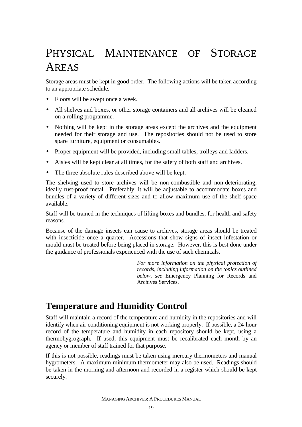# PHYSICAL MAINTENANCE OF STORAGE AREAS

Storage areas must be kept in good order. The following actions will be taken according to an appropriate schedule.

- Floors will be swept once a week.
- All shelves and boxes, or other storage containers and all archives will be cleaned on a rolling programme.
- Nothing will be kept in the storage areas except the archives and the equipment needed for their storage and use. The repositories should not be used to store spare furniture, equipment or consumables.
- Proper equipment will be provided, including small tables, trolleys and ladders.
- Aisles will be kept clear at all times, for the safety of both staff and archives.
- The three absolute rules described above will be kept.

The shelving used to store archives will be non-combustible and non-deteriorating, ideally rust-proof metal. Preferably, it will be adjustable to accommodate boxes and bundles of a variety of different sizes and to allow maximum use of the shelf space available.

Staff will be trained in the techniques of lifting boxes and bundles, for health and safety reasons.

Because of the damage insects can cause to archives, storage areas should be treated with insecticide once a quarter. Accessions that show signs of insect infestation or mould must be treated before being placed in storage. However, this is best done under the guidance of professionals experienced with the use of such chemicals.

> *For more information on the physical protection of records, including information on the topics outlined below, see* Emergency Planning for Records and Archives Services.

#### **Temperature and Humidity Control**

Staff will maintain a record of the temperature and humidity in the repositories and will identify when air conditioning equipment is not working properly. If possible, a 24-hour record of the temperature and humidity in each repository should be kept, using a thermohygrograph. If used, this equipment must be recalibrated each month by an agency or member of staff trained for that purpose.

If this is not possible, readings must be taken using mercury thermometers and manual hygrometers. A maximum-minimum thermometer may also be used. Readings should be taken in the morning and afternoon and recorded in a register which should be kept securely.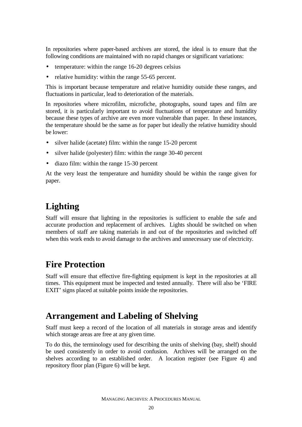In repositories where paper-based archives are stored, the ideal is to ensure that the following conditions are maintained with no rapid changes or significant variations:

- temperature: within the range 16-20 degrees celsius
- relative humidity: within the range 55-65 percent.

This is important because temperature and relative humidity outside these ranges, and fluctuations in particular, lead to deterioration of the materials.

In repositories where microfilm, microfiche, photographs, sound tapes and film are stored, it is particularly important to avoid fluctuations of temperature and humidity because these types of archive are even more vulnerable than paper. In these instances, the temperature should be the same as for paper but ideally the relative humidity should be lower:

- silver halide (acetate) film: within the range 15-20 percent
- silver halide (polyester) film: within the range 30-40 percent
- diazo film: within the range 15-30 percent

At the very least the temperature and humidity should be within the range given for paper.

#### **Lighting**

Staff will ensure that lighting in the repositories is sufficient to enable the safe and accurate production and replacement of archives. Lights should be switched on when members of staff are taking materials in and out of the repositories and switched off when this work ends to avoid damage to the archives and unnecessary use of electricity.

#### **Fire Protection**

Staff will ensure that effective fire-fighting equipment is kept in the repositories at all times. This equipment must be inspected and tested annually. There will also be 'FIRE EXIT' signs placed at suitable points inside the repositories.

#### **Arrangement and Labeling of Shelving**

Staff must keep a record of the location of all materials in storage areas and identify which storage areas are free at any given time.

To do this, the terminology used for describing the units of shelving (bay, shelf) should be used consistently in order to avoid confusion. Archives will be arranged on the shelves according to an established order. A location register (see Figure 4) and repository floor plan (Figure 6) will be kept.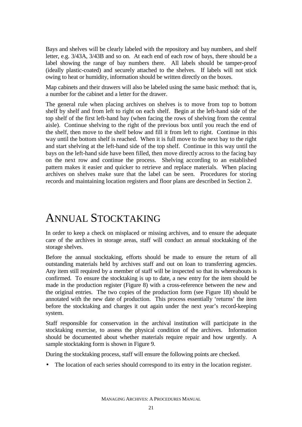Bays and shelves will be clearly labeled with the repository and bay numbers, and shelf letter, e.g. 3/43A, 3/43B and so on. At each end of each row of bays, there should be a label showing the range of bay numbers there. All labels should be tamper-proof (ideally plastic-coated) and securely attached to the shelves. If labels will not stick owing to heat or humidity, information should be written directly on the boxes.

Map cabinets and their drawers will also be labeled using the same basic method: that is, a number for the cabinet and a letter for the drawer.

The general rule when placing archives on shelves is to move from top to bottom shelf by shelf and from left to right on each shelf. Begin at the left-hand side of the top shelf of the first left-hand bay (when facing the rows of shelving from the central aisle). Continue shelving to the right of the previous box until you reach the end of the shelf, then move to the shelf below and fill it from left to right. Continue in this way until the bottom shelf is reached. When it is full move to the next bay to the right and start shelving at the left-hand side of the top shelf. Continue in this way until the bays on the left-hand side have been filled, then move directly across to the facing bay on the next row and continue the process. Shelving according to an established pattern makes it easier and quicker to retrieve and replace materials. When placing archives on shelves make sure that the label can be seen. Procedures for storing records and maintaining location registers and floor plans are described in Section 2.

#### ANNUAL STOCKTAKING

In order to keep a check on misplaced or missing archives, and to ensure the adequate care of the archives in storage areas, staff will conduct an annual stocktaking of the storage shelves.

Before the annual stocktaking, efforts should be made to ensure the return of all outstanding materials held by archives staff and out on loan to transferring agencies. Any item still required by a member of staff will be inspected so that its whereabouts is confirmed. To ensure the stocktaking is up to date, a new entry for the item should be made in the production register (Figure 8) with a cross-reference between the new and the original entries. The two copies of the production form (see Figure 18) should be annotated with the new date of production. This process essentially 'returns' the item before the stocktaking and charges it out again under the next year's record-keeping system.

Staff responsible for conservation in the archival institution will participate in the stocktaking exercise, to assess the physical condition of the archives. Information should be documented about whether materials require repair and how urgently. A sample stocktaking form is shown in Figure 9.

During the stocktaking process, staff will ensure the following points are checked.

• The location of each series should correspond to its entry in the location register.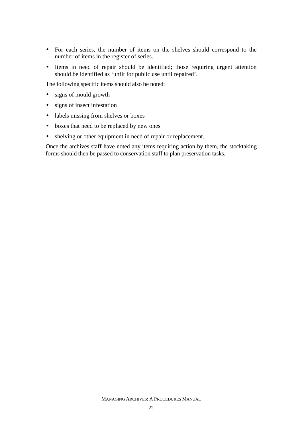- For each series, the number of items on the shelves should correspond to the number of items in the register of series.
- Items in need of repair should be identified; those requiring urgent attention should be identified as 'unfit for public use until repaired'.

The following specific items should also be noted:

- signs of mould growth
- signs of insect infestation
- labels missing from shelves or boxes
- boxes that need to be replaced by new ones
- shelving or other equipment in need of repair or replacement.

Once the archives staff have noted any items requiring action by them, the stocktaking forms should then be passed to conservation staff to plan preservation tasks.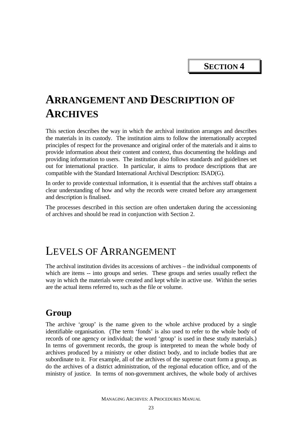**SECTION 4** 

## **ARRANGEMENT AND DESCRIPTION OF ARCHIVES**

This section describes the way in which the archival institution arranges and describes the materials in its custody. The institution aims to follow the internationally accepted principles of respect for the provenance and original order of the materials and it aims to provide information about their content and context, thus documenting the holdings and providing information to users. The institution also follows standards and guidelines set out for international practice. In particular, it aims to produce descriptions that are compatible with the Standard International Archival Description: ISAD(G).

In order to provide contextual information, it is essential that the archives staff obtains a clear understanding of how and why the records were created before any arrangement and description is finalised.

The processes described in this section are often undertaken during the accessioning of archives and should be read in conjunction with Section 2.

#### LEVELS OF ARRANGEMENT

The archival institution divides its accessions of archives – the individual components of which are items -- into groups and series. These groups and series usually reflect the way in which the materials were created and kept while in active use. Within the series are the actual items referred to, such as the file or volume.

#### **Group**

The archive 'group' is the name given to the whole archive produced by a single identifiable organisation. (The term 'fonds' is also used to refer to the whole body of records of one agency or individual; the word 'group' is used in these study materials.) In terms of government records, the group is interpreted to mean the whole body of archives produced by a ministry or other distinct body, and to include bodies that are subordinate to it. For example, all of the archives of the supreme court form a group, as do the archives of a district administration, of the regional education office, and of the ministry of justice. In terms of non-government archives, the whole body of archives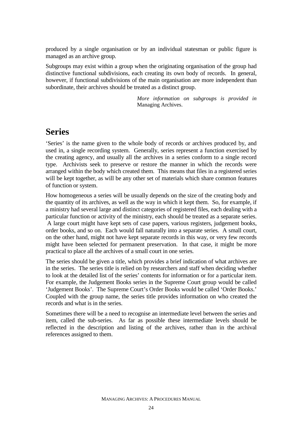produced by a single organisation or by an individual statesman or public figure is managed as an archive group.

Subgroups may exist within a group when the originating organisation of the group had distinctive functional subdivisions, each creating its own body of records. In general, however, if functional subdivisions of the main organisation are more independent than subordinate, their archives should be treated as a distinct group.

> *More information on subgroups is provided in*  Managing Archives.

#### **Series**

'Series' is the name given to the whole body of records or archives produced by, and used in, a single recording system. Generally, series represent a function exercised by the creating agency, and usually all the archives in a series conform to a single record type. Archivists seek to preserve or restore the manner in which the records were arranged within the body which created them. This means that files in a registered series will be kept together, as will be any other set of materials which share common features of function or system.

How homogeneous a series will be usually depends on the size of the creating body and the quantity of its archives, as well as the way in which it kept them. So, for example, if a ministry had several large and distinct categories of registered files, each dealing with a particular function or activity of the ministry, each should be treated as a separate series. A large court might have kept sets of case papers, various registers, judgement books, order books, and so on. Each would fall naturally into a separate series. A small court, on the other hand, might not have kept separate records in this way, or very few records might have been selected for permanent preservation. In that case, it might be more practical to place all the archives of a small court in one series.

The series should be given a title, which provides a brief indication of what archives are in the series. The series title is relied on by researchers and staff when deciding whether to look at the detailed list of the series' contents for information or for a particular item. For example, the Judgement Books series in the Supreme Court group would be called 'Judgement Books'. The Supreme Court's Order Books would be called 'Order Books.' Coupled with the group name, the series title provides information on who created the records and what is in the series.

Sometimes there will be a need to recognise an intermediate level between the series and item, called the sub-series. As far as possible these intermediate levels should be reflected in the description and listing of the archives, rather than in the archival references assigned to them.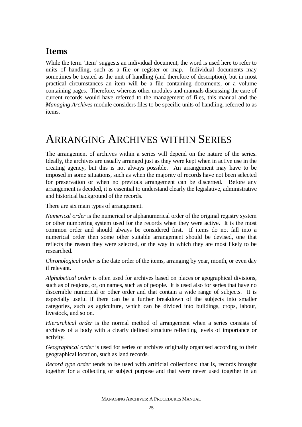#### **Items**

While the term 'item' suggests an individual document, the word is used here to refer to units of handling, such as a file or register or map. Individual documents may sometimes be treated as the unit of handling (and therefore of description), but in most practical circumstances an item will be a file containing documents, or a volume containing pages. Therefore, whereas other modules and manuals discussing the care of current records would have referred to the management of files, this manual and the *Managing Archives* module considers files to be specific units of handling, referred to as items.

## ARRANGING ARCHIVES WITHIN SERIES

The arrangement of archives within a series will depend on the nature of the series. Ideally, the archives are usually arranged just as they were kept when in active use in the creating agency, but this is not always possible. An arrangement may have to be imposed in some situations, such as when the majority of records have not been selected for preservation or when no previous arrangement can be discerned. Before any arrangement is decided, it is essential to understand clearly the legislative, administrative and historical background of the records.

There are six main types of arrangement.

*Numerical order* is the numerical or alphanumerical order of the original registry system or other numbering system used for the records when they were active. It is the most common order and should always be considered first. If items do not fall into a numerical order then some other suitable arrangement should be devised, one that reflects the reason they were selected, or the way in which they are most likely to be researched.

*Chronological order* is the date order of the items, arranging by year, month, or even day if relevant.

*Alphabetical order* is often used for archives based on places or geographical divisions, such as of regions, or, on names, such as of people. It is used also for series that have no discernible numerical or other order and that contain a wide range of subjects. It is especially useful if there can be a further breakdown of the subjects into smaller categories, such as agriculture, which can be divided into buildings, crops, labour, livestock, and so on.

*Hierarchical order* is the normal method of arrangement when a series consists of archives of a body with a clearly defined structure reflecting levels of importance or activity.

*Geographical order* is used for series of archives originally organised according to their geographical location, such as land records.

*Record type order* tends to be used with artificial collections: that is, records brought together for a collecting or subject purpose and that were never used together in an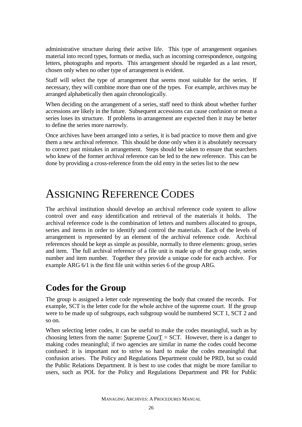administrative structure during their active life. This type of arrangement organises material into record types, formats or media, such as incoming correspondence, outgoing letters, photographs and reports. This arrangement should be regarded as a last resort, chosen only when no other type of arrangement is evident.

Staff will select the type of arrangement that seems most suitable for the series. If necessary, they will combine more than one of the types. For example, archives may be arranged alphabetically then again chronologically.

When deciding on the arrangement of a series, staff need to think about whether further accessions are likely in the future. Subsequent accessions can cause confusion or mean a series loses its structure. If problems in arrangement are expected then it may be better to define the series more narrowly.

Once archives have been arranged into a series, it is bad practice to move them and give them a new archival reference. This should be done only when it is absolutely necessary to correct past mistakes in arrangement. Steps should be taken to ensure that searchers who knew of the former archival reference can be led to the new reference. This can be done by providing a cross-reference from the old entry in the series list to the new

## ASSIGNING REFERENCE CODES

The archival institution should develop an archival reference code system to allow control over and easy identification and retrieval of the materials it holds. The archival reference code is the combination of letters and numbers allocated to groups, series and items in order to identify and control the materials. Each of the levels of arrangement is represented by an element of the archival reference code. Archival references should be kept as simple as possible, normally to three elements: group, series and item. The full archival reference of a file unit is made up of the group code, series number and item number. Together they provide a unique code for each archive. For example ARG 6/1 is the first file unit within series 6 of the group ARG.

#### **Codes for the Group**

The group is assigned a letter code representing the body that created the records. For example, SCT is the letter code for the whole archive of the supreme court. If the group were to be made up of subgroups, each subgroup would be numbered SCT 1, SCT 2 and so on.

When selecting letter codes, it can be useful to make the codes meaningful, such as by choosing letters from the name: Supreme CourT  $=$  SCT. However, there is a danger to making codes meaningful; if two agencies are similar in name the codes could become confused: it is important not to strive so hard to make the codes meaningful that confusion arises. The Policy and Regulations Department could be PRD, but so could the Public Relations Department. It is best to use codes that might be more familiar to users, such as POL for the Policy and Regulations Department and PR for Public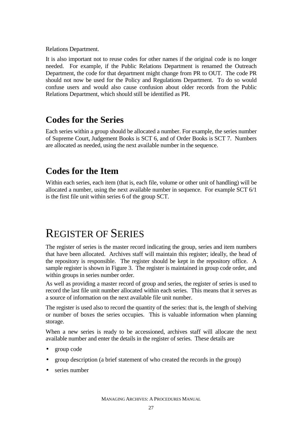Relations Department.

It is also important not to reuse codes for other names if the original code is no longer needed. For example, if the Public Relations Department is renamed the Outreach Department, the code for that department might change from PR to OUT. The code PR should not now be used for the Policy and Regulations Department. To do so would confuse users and would also cause confusion about older records from the Public Relations Department, which should still be identified as PR.

### **Codes for the Series**

Each series within a group should be allocated a number. For example, the series number of Supreme Court, Judgement Books is SCT 6, and of Order Books is SCT 7. Numbers are allocated as needed, using the next available number in the sequence.

### **Codes for the Item**

Within each series, each item (that is, each file, volume or other unit of handling) will be allocated a number, using the next available number in sequence. For example SCT 6/1 is the first file unit within series 6 of the group SCT.

## REGISTER OF SERIES

The register of series is the master record indicating the group, series and item numbers that have been allocated. Archives staff will maintain this register; ideally, the head of the repository is responsible. The register should be kept in the repository office. A sample register is shown in Figure 3. The register is maintained in group code order, and within groups in series number order.

As well as providing a master record of group and series, the register of series is used to record the last file unit number allocated within each series. This means that it serves as a source of information on the next available file unit number.

The register is used also to record the quantity of the series: that is, the length of shelving or number of boxes the series occupies. This is valuable information when planning storage.

When a new series is ready to be accessioned, archives staff will allocate the next available number and enter the details in the register of series. These details are

- group code
- group description (a brief statement of who created the records in the group)
- series number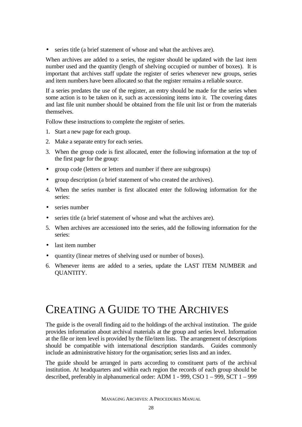• series title (a brief statement of whose and what the archives are).

When archives are added to a series, the register should be updated with the last item number used and the quantity (length of shelving occupied or number of boxes). It is important that archives staff update the register of series whenever new groups, series and item numbers have been allocated so that the register remains a reliable source.

If a series predates the use of the register, an entry should be made for the series when some action is to be taken on it, such as accessioning items into it. The covering dates and last file unit number should be obtained from the file unit list or from the materials themselves.

Follow these instructions to complete the register of series.

- 1. Start a new page for each group.
- 2. Make a separate entry for each series.
- 3. When the group code is first allocated, enter the following information at the top of the first page for the group:
- group code (letters or letters and number if there are subgroups)
- group description (a brief statement of who created the archives).
- 4. When the series number is first allocated enter the following information for the series:
- series number
- series title (a brief statement of whose and what the archives are).
- 5. When archives are accessioned into the series, add the following information for the series:
- last item number
- quantity (linear metres of shelving used or number of boxes).
- 6. Whenever items are added to a series, update the LAST ITEM NUMBER and QUANTITY.

# CREATING A GUIDE TO THE ARCHIVES

The guide is the overall finding aid to the holdings of the archival institution. The guide provides information about archival materials at the group and series level. Information at the file or item level is provided by the file/item lists. The arrangement of descriptions should be compatible with international description standards. Guides commonly include an administrative history for the organisation; series lists and an index.

The guide should be arranged in parts according to constituent parts of the archival institution. At headquarters and within each region the records of each group should be described, preferably in alphanumerical order: ADM 1 - 999, CSO 1 – 999, SCT 1 – 999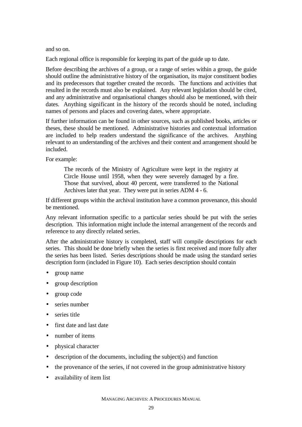and so on.

Each regional office is responsible for keeping its part of the guide up to date.

Before describing the archives of a group, or a range of series within a group, the guide should outline the administrative history of the organisation, its major constituent bodies and its predecessors that together created the records. The functions and activities that resulted in the records must also be explained. Any relevant legislation should be cited, and any administrative and organisational changes should also be mentioned, with their dates. Anything significant in the history of the records should be noted, including names of persons and places and covering dates, where appropriate.

If further information can be found in other sources, such as published books, articles or theses, these should be mentioned. Administrative histories and contextual information are included to help readers understand the significance of the archives. Anything relevant to an understanding of the archives and their content and arrangement should be included.

For example:

The records of the Ministry of Agriculture were kept in the registry at Circle House until 1958, when they were severely damaged by a fire. Those that survived, about 40 percent, were transferred to the National Archives later that year. They were put in series ADM 4 - 6.

If different groups within the archival institution have a common provenance, this should be mentioned.

Any relevant information specific to a particular series should be put with the series description. This information might include the internal arrangement of the records and reference to any directly related series.

After the administrative history is completed, staff will compile descriptions for each series. This should be done briefly when the series is first received and more fully after the series has been listed. Series descriptions should be made using the standard series description form (included in Figure 10). Each series description should contain

- group name
- group description
- group code
- series number
- series title
- first date and last date
- number of items
- physical character
- $\bullet$  description of the documents, including the subject(s) and function
- the provenance of the series, if not covered in the group administrative history
- availability of item list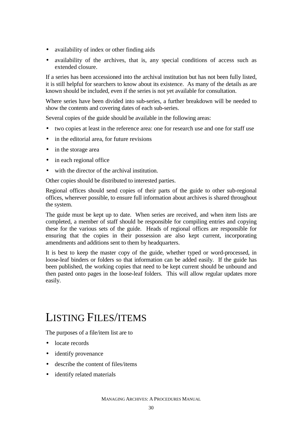- availability of index or other finding aids
- availability of the archives, that is, any special conditions of access such as extended closure.

If a series has been accessioned into the archival institution but has not been fully listed, it is still helpful for searchers to know about its existence. As many of the details as are known should be included, even if the series is not yet available for consultation.

Where series have been divided into sub-series, a further breakdown will be needed to show the contents and covering dates of each sub-series.

Several copies of the guide should be available in the following areas:

- two copies at least in the reference area: one for research use and one for staff use
- in the editorial area, for future revisions
- in the storage area
- in each regional office
- with the director of the archival institution.

Other copies should be distributed to interested parties.

Regional offices should send copies of their parts of the guide to other sub-regional offices, wherever possible, to ensure full information about archives is shared throughout the system.

The guide must be kept up to date. When series are received, and when item lists are completed, a member of staff should be responsible for compiling entries and copying these for the various sets of the guide. Heads of regional offices are responsible for ensuring that the copies in their possession are also kept current, incorporating amendments and additions sent to them by headquarters.

It is best to keep the master copy of the guide*,* whether typed or word-processed, in loose-leaf binders or folders so that information can be added easily. If the guide has been published, the working copies that need to be kept current should be unbound and then pasted onto pages in the loose-leaf folders. This will allow regular updates more easily.

## LISTING FILES/ITEMS

The purposes of a file/item list are to

- locate records
- identify provenance
- describe the content of files/items
- identify related materials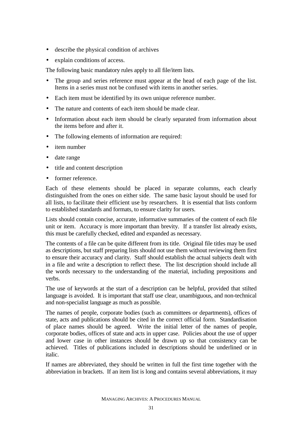- describe the physical condition of archives
- explain conditions of access.

The following basic mandatory rules apply to all file/item lists.

- The group and series reference must appear at the head of each page of the list. Items in a series must not be confused with items in another series.
- Each item must be identified by its own unique reference number.
- The nature and contents of each item should be made clear.
- Information about each item should be clearly separated from information about the items before and after it.
- The following elements of information are required:
- item number
- date range
- title and content description
- former reference.

Each of these elements should be placed in separate columns, each clearly distinguished from the ones on either side. The same basic layout should be used for all lists, to facilitate their efficient use by researchers. It is essential that lists conform to established standards and formats, to ensure clarity for users.

Lists should contain concise, accurate, informative summaries of the content of each file unit or item. Accuracy is more important than brevity. If a transfer list already exists, this must be carefully checked, edited and expanded as necessary.

The contents of a file can be quite different from its title. Original file titles may be used as descriptions, but staff preparing lists should not use them without reviewing them first to ensure their accuracy and clarity. Staff should establish the actual subjects dealt with in a file and write a description to reflect these. The list description should include all the words necessary to the understanding of the material, including prepositions and verbs.

The use of keywords at the start of a description can be helpful, provided that stilted language is avoided. It is important that staff use clear, unambiguous, and non-technical and non-specialist language as much as possible.

The names of people, corporate bodies (such as committees or departments), offices of state, acts and publications should be cited in the correct official form. Standardisation of place names should be agreed. Write the initial letter of the names of people, corporate bodies, offices of state and acts in upper case. Policies about the use of upper and lower case in other instances should be drawn up so that consistency can be achieved. Titles of publications included in descriptions should be underlined or in italic.

If names are abbreviated, they should be written in full the first time together with the abbreviation in brackets. If an item list is long and contains several abbreviations, it may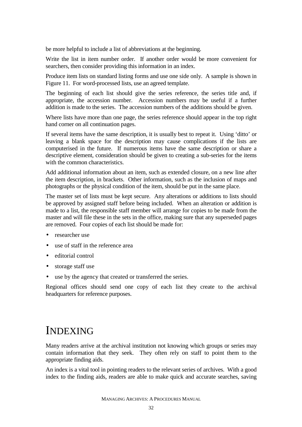be more helpful to include a list of abbreviations at the beginning.

Write the list in item number order. If another order would be more convenient for searchers, then consider providing this information in an index.

Produce item lists on standard listing forms and use one side only. A sample is shown in Figure 11. For word-processed lists, use an agreed template.

The beginning of each list should give the series reference, the series title and, if appropriate, the accession number. Accession numbers may be useful if a further addition is made to the series. The accession numbers of the additions should be given.

Where lists have more than one page, the series reference should appear in the top right hand corner on all continuation pages.

If several items have the same description, it is usually best to repeat it. Using 'ditto' or leaving a blank space for the description may cause complications if the lists are computerised in the future. If numerous items have the same description or share a descriptive element, consideration should be given to creating a sub-series for the items with the common characteristics.

Add additional information about an item, such as extended closure, on a new line after the item description, in brackets. Other information, such as the inclusion of maps and photographs or the physical condition of the item, should be put in the same place.

The master set of lists must be kept secure. Any alterations or additions to lists should be approved by assigned staff before being included. When an alteration or addition is made to a list, the responsible staff member will arrange for copies to be made from the master and will file these in the sets in the office, making sure that any superseded pages are removed. Four copies of each list should be made for:

- researcher use
- use of staff in the reference area
- editorial control
- storage staff use
- use by the agency that created or transferred the series.

Regional offices should send one copy of each list they create to the archival headquarters for reference purposes.

### INDEXING

Many readers arrive at the archival institution not knowing which groups or series may contain information that they seek. They often rely on staff to point them to the appropriate finding aids.

An index is a vital tool in pointing readers to the relevant series of archives. With a good index to the finding aids, readers are able to make quick and accurate searches, saving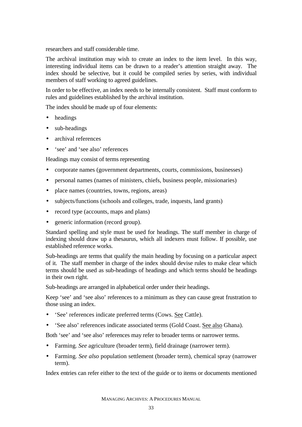researchers and staff considerable time.

The archival institution may wish to create an index to the item level. In this way, interesting individual items can be drawn to a reader's attention straight away. The index should be selective, but it could be compiled series by series, with individual members of staff working to agreed guidelines.

In order to be effective, an index needs to be internally consistent. Staff must conform to rules and guidelines established by the archival institution.

The index should be made up of four elements:

- headings
- sub-headings
- archival references
- 'see' and 'see also' references

Headings may consist of terms representing

- corporate names (government departments, courts, commissions, businesses)
- personal names (names of ministers, chiefs, business people, missionaries)
- place names (countries, towns, regions, areas)
- subjects/functions (schools and colleges, trade, inquests, land grants)
- record type (accounts, maps and plans)
- generic information (record group).

Standard spelling and style must be used for headings. The staff member in charge of indexing should draw up a thesaurus, which all indexers must follow. If possible, use established reference works.

Sub-headings are terms that qualify the main heading by focusing on a particular aspect of it. The staff member in charge of the index should devise rules to make clear which terms should be used as sub-headings of headings and which terms should be headings in their own right.

Sub-headings are arranged in alphabetical order under their headings.

Keep 'see' and 'see also' references to a minimum as they can cause great frustration to those using an index.

- 'See' references indicate preferred terms (Cows. See Cattle).
- 'See also' references indicate associated terms (Gold Coast. See also Ghana).

Both 'see' and 'see also' references may refer to broader terms or narrower terms.

- Farming. *See* agriculture (broader term), field drainage (narrower term).
- Farming. *See also* population settlement (broader term), chemical spray (narrower term).

Index entries can refer either to the text of the guide or to items or documents mentioned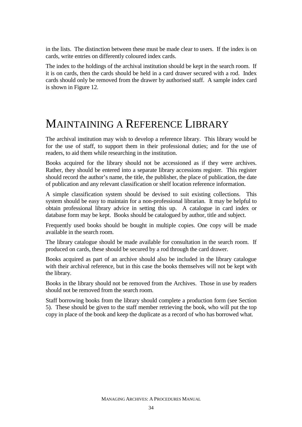in the lists. The distinction between these must be made clear to users. If the index is on cards, write entries on differently coloured index cards.

The index to the holdings of the archival institution should be kept in the search room. If it is on cards, then the cards should be held in a card drawer secured with a rod. Index cards should only be removed from the drawer by authorised staff. A sample index card is shown in Figure 12.

## MAINTAINING A REFERENCE LIBRARY

The archival institution may wish to develop a reference library. This library would be for the use of staff, to support them in their professional duties; and for the use of readers, to aid them while researching in the institution.

Books acquired for the library should not be accessioned as if they were archives. Rather, they should be entered into a separate library accessions register. This register should record the author's name, the title, the publisher, the place of publication, the date of publication and any relevant classification or shelf location reference information.

A simple classification system should be devised to suit existing collections. This system should be easy to maintain for a non-professional librarian. It may be helpful to obtain professional library advice in setting this up. A catalogue in card index or database form may be kept. Books should be catalogued by author, title and subject.

Frequently used books should be bought in multiple copies. One copy will be made available in the search room.

The library catalogue should be made available for consultation in the search room. If produced on cards, these should be secured by a rod through the card drawer.

Books acquired as part of an archive should also be included in the library catalogue with their archival reference, but in this case the books themselves will not be kept with the library.

Books in the library should not be removed from the Archives. Those in use by readers should not be removed from the search room.

Staff borrowing books from the library should complete a production form (see Section 5). These should be given to the staff member retrieving the book, who will put the top copy in place of the book and keep the duplicate as a record of who has borrowed what.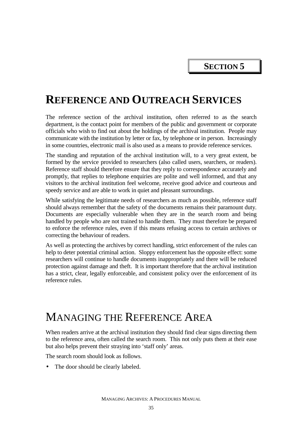## **REFERENCE AND OUTREACH SERVICES**

The reference section of the archival institution, often referred to as the search department, is the contact point for members of the public and government or corporate officials who wish to find out about the holdings of the archival institution. People may communicate with the institution by letter or fax, by telephone or in person. Increasingly in some countries, electronic mail is also used as a means to provide reference services.

The standing and reputation of the archival institution will, to a very great extent, be formed by the service provided to researchers (also called users, searchers, or readers). Reference staff should therefore ensure that they reply to correspondence accurately and promptly, that replies to telephone enquiries are polite and well informed, and that any visitors to the archival institution feel welcome, receive good advice and courteous and speedy service and are able to work in quiet and pleasant surroundings.

While satisfying the legitimate needs of researchers as much as possible, reference staff should always remember that the safety of the documents remains their paramount duty. Documents are especially vulnerable when they are in the search room and being handled by people who are not trained to handle them. They must therefore be prepared to enforce the reference rules, even if this means refusing access to certain archives or correcting the behaviour of readers.

As well as protecting the archives by correct handling, strict enforcement of the rules can help to deter potential criminal action. Sloppy enforcement has the opposite effect: some researchers will continue to handle documents inappropriately and there will be reduced protection against damage and theft. It is important therefore that the archival institution has a strict, clear, legally enforceable, and consistent policy over the enforcement of its reference rules.

### MANAGING THE REFERENCE AREA

When readers arrive at the archival institution they should find clear signs directing them to the reference area, often called the search room. This not only puts them at their ease but also helps prevent their straying into 'staff only' areas.

The search room should look as follows.

• The door should be clearly labeled.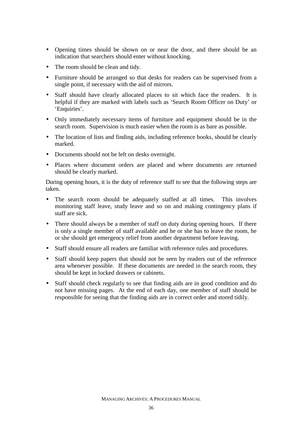- Opening times should be shown on or near the door, and there should be an indication that searchers should enter without knocking.
- The room should be clean and tidy.
- Furniture should be arranged so that desks for readers can be supervised from a single point, if necessary with the aid of mirrors.
- Staff should have clearly allocated places to sit which face the readers. It is helpful if they are marked with labels such as 'Search Room Officer on Duty' or 'Enquiries'.
- Only immediately necessary items of furniture and equipment should be in the search room. Supervision is much easier when the room is as bare as possible.
- The location of lists and finding aids, including reference books, should be clearly marked.
- Documents should not be left on desks overnight.
- Places where document orders are placed and where documents are returned should be clearly marked.

During opening hours, it is the duty of reference staff to see that the following steps are taken.

- The search room should be adequately staffed at all times. This involves monitoring staff leave, study leave and so on and making contingency plans if staff are sick.
- There should always be a member of staff on duty during opening hours. If there is only a single member of staff available and he or she has to leave the room, he or she should get emergency relief from another department before leaving.
- Staff should ensure all readers are familiar with reference rules and procedures.
- Staff should keep papers that should not be seen by readers out of the reference area whenever possible. If these documents are needed in the search room, they should be kept in locked drawers or cabinets.
- Staff should check regularly to see that finding aids are in good condition and do not have missing pages. At the end of each day, one member of staff should be responsible for seeing that the finding aids are in correct order and stored tidily.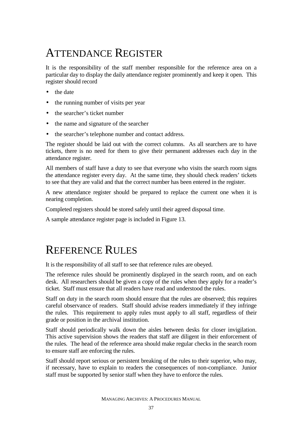# ATTENDANCE REGISTER

It is the responsibility of the staff member responsible for the reference area on a particular day to display the daily attendance register prominently and keep it open. This register should record

- the date
- the running number of visits per year
- the searcher's ticket number
- the name and signature of the searcher
- the searcher's telephone number and contact address.

The register should be laid out with the correct columns. As all searchers are to have tickets, there is no need for them to give their permanent addresses each day in the attendance register.

All members of staff have a duty to see that everyone who visits the search room signs the attendance register every day. At the same time, they should check readers' tickets to see that they are valid and that the correct number has been entered in the register.

A new attendance register should be prepared to replace the current one when it is nearing completion.

Completed registers should be stored safely until their agreed disposal time.

A sample attendance register page is included in Figure 13.

## REFERENCE RULES

It is the responsibility of all staff to see that reference rules are obeyed.

The reference rules should be prominently displayed in the search room, and on each desk. All researchers should be given a copy of the rules when they apply for a reader's ticket. Staff must ensure that all readers have read and understood the rules.

Staff on duty in the search room should ensure that the rules are observed; this requires careful observance of readers. Staff should advise readers immediately if they infringe the rules. This requirement to apply rules must apply to all staff, regardless of their grade or position in the archival institution.

Staff should periodically walk down the aisles between desks for closer invigilation. This active supervision shows the readers that staff are diligent in their enforcement of the rules. The head of the reference area should make regular checks in the search room to ensure staff are enforcing the rules.

Staff should report serious or persistent breaking of the rules to their superior, who may, if necessary, have to explain to readers the consequences of non-compliance. Junior staff must be supported by senior staff when they have to enforce the rules.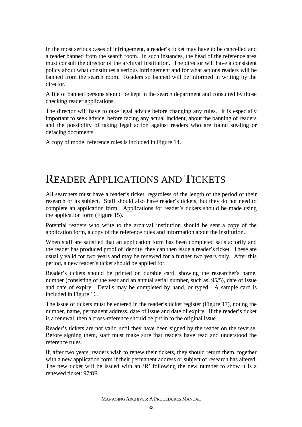In the most serious cases of infringement, a reader's ticket may have to be cancelled and a reader banned from the search room. In such instances, the head of the reference area must consult the director of the archival institution. The director will have a consistent policy about what constitutes a serious infringement and for what actions readers will be banned from the search room. Readers so banned will be informed in writing by the director.

A file of banned persons should be kept in the search department and consulted by those checking reader applications.

The director will have to take legal advice before changing any rules. It is especially important to seek advice, before facing any actual incident, about the banning of readers and the possibility of taking legal action against readers who are found stealing or defacing documents.

A copy of model reference rules is included in Figure 14.

## READER APPLICATIONS AND TICKETS

All searchers must have a reader's ticket, regardless of the length of the period of their research or its subject. Staff should also have reader's tickets, but they do not need to complete an application form. Applications for reader's tickets should be made using the application form (Figure 15).

Potential readers who write to the archival institution should be sent a copy of the application form, a copy of the reference rules and information about the institution.

When staff are satisfied that an application form has been completed satisfactorily and the reader has produced proof of identity, they can then issue a reader's ticket. These are usually valid for two years and may be renewed for a further two years only. After this period, a new reader's ticket should be applied for.

Reader's tickets should be printed on durable card, showing the researcher's name, number (consisting of the year and an annual serial number, such as. 95/5), date of issue and date of expiry. Details may be completed by hand, or typed. A sample card is included in Figure 16.

The issue of tickets must be entered in the reader's ticket register (Figure 17), noting the number, name, permanent address, date of issue and date of expiry. If the reader's ticket is a renewal, then a cross-reference should be put in to the original issue.

Reader's tickets are not valid until they have been signed by the reader on the reverse. Before signing them, staff must make sure that readers have read and understood the reference rules.

If, after two years, readers wish to renew their tickets, they should return them, together with a new application form if their permanent address or subject of research has altered. The new ticket will be issued with an 'R' following the new number to show it is a renewed ticket: 97/8R.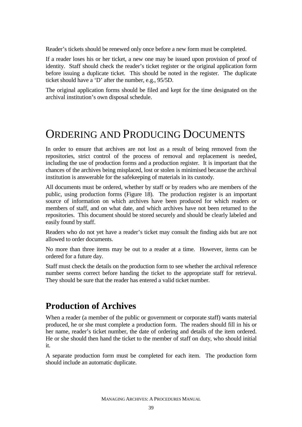Reader's tickets should be renewed only once before a new form must be completed.

If a reader loses his or her ticket, a new one may be issued upon provision of proof of identity. Staff should check the reader's ticket register or the original application form before issuing a duplicate ticket. This should be noted in the register. The duplicate ticket should have a 'D' after the number, e.g., 95/5D.

The original application forms should be filed and kept for the time designated on the archival institution's own disposal schedule.

### ORDERING AND PRODUCING DOCUMENTS

In order to ensure that archives are not lost as a result of being removed from the repositories, strict control of the process of removal and replacement is needed, including the use of production forms and a production register. It is important that the chances of the archives being misplaced, lost or stolen is minimised because the archival institution is answerable for the safekeeping of materials in its custody.

All documents must be ordered, whether by staff or by readers who are members of the public, using production forms (Figure 18). The production register is an important source of information on which archives have been produced for which readers or members of staff, and on what date, and which archives have not been returned to the repositories. This document should be stored securely and should be clearly labeled and easily found by staff.

Readers who do not yet have a reader's ticket may consult the finding aids but are not allowed to order documents.

No more than three items may be out to a reader at a time. However, items can be ordered for a future day.

Staff must check the details on the production form to see whether the archival reference number seems correct before handing the ticket to the appropriate staff for retrieval. They should be sure that the reader has entered a valid ticket number.

### **Production of Archives**

When a reader (a member of the public or government or corporate staff) wants material produced, he or she must complete a production form. The readers should fill in his or her name, reader's ticket number, the date of ordering and details of the item ordered. He or she should then hand the ticket to the member of staff on duty, who should initial it.

A separate production form must be completed for each item. The production form should include an automatic duplicate.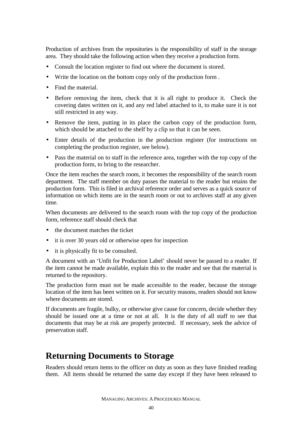Production of archives from the repositories is the responsibility of staff in the storage area. They should take the following action when they receive a production form.

- Consult the location register to find out where the document is stored.
- Write the location on the bottom copy only of the production form.
- Find the material.
- Before removing the item, check that it is all right to produce it. Check the covering dates written on it, and any red label attached to it, to make sure it is not still restricted in any way.
- Remove the item, putting in its place the carbon copy of the production form, which should be attached to the shelf by a clip so that it can be seen.
- Enter details of the production in the production register (for instructions on completing the production register, see below).
- Pass the material on to staff in the reference area, together with the top copy of the production form, to bring to the researcher.

Once the item reaches the search room, it becomes the responsibility of the search room department. The staff member on duty passes the material to the reader but retains the production form. This is filed in archival reference order and serves as a quick source of information on which items are in the search room or out to archives staff at any given time.

When documents are delivered to the search room with the top copy of the production form, reference staff should check that

- the document matches the ticket
- it is over 30 years old or otherwise open for inspection
- it is physically fit to be consulted.

A document with an 'Unfit for Production Label' should never be passed to a reader. If the item cannot be made available, explain this to the reader and see that the material is returned to the repository.

The production form must not be made accessible to the reader, because the storage location of the item has been written on it. For security reasons, readers should not know where documents are stored.

If documents are fragile, bulky, or otherwise give cause for concern, decide whether they should be issued one at a time or not at all. It is the duty of all staff to see that documents that may be at risk are properly protected. If necessary, seek the advice of preservation staff.

### **Returning Documents to Storage**

Readers should return items to the officer on duty as soon as they have finished reading them. All items should be returned the same day except if they have been released to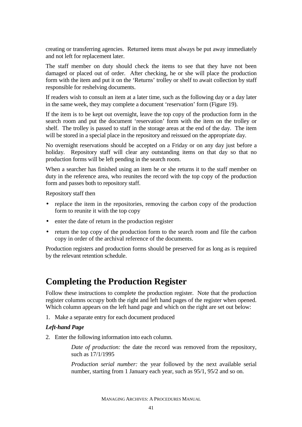creating or transferring agencies. Returned items must always be put away immediately and not left for replacement later.

The staff member on duty should check the items to see that they have not been damaged or placed out of order. After checking, he or she will place the production form with the item and put it on the 'Returns' trolley or shelf to await collection by staff responsible for reshelving documents.

If readers wish to consult an item at a later time, such as the following day or a day later in the same week, they may complete a document 'reservation' form (Figure 19).

If the item is to be kept out overnight, leave the top copy of the production form in the search room and put the document 'reservation' form with the item on the trolley or shelf. The trolley is passed to staff in the storage areas at the end of the day. The item will be stored in a special place in the repository and reissued on the appropriate day.

No overnight reservations should be accepted on a Friday or on any day just before a holiday. Repository staff will clear any outstanding items on that day so that no production forms will be left pending in the search room.

When a searcher has finished using an item he or she returns it to the staff member on duty in the reference area, who reunites the record with the top copy of the production form and passes both to repository staff.

Repository staff then

- replace the item in the repositories, removing the carbon copy of the production form to reunite it with the top copy
- enter the date of return in the production register
- return the top copy of the production form to the search room and file the carbon copy in order of the archival reference of the documents.

Production registers and production forms should be preserved for as long as is required by the relevant retention schedule.

### **Completing the Production Register**

Follow these instructions to complete the production register. Note that the production register columns occupy both the right and left hand pages of the register when opened. Which column appears on the left hand page and which on the right are set out below:

1. Make a separate entry for each document produced

#### *Left-hand Page*

2. Enter the following information into each column.

*Date of production:* the date the record was removed from the repository, such as 17/1/1995

*Production serial number:* the year followed by the next available serial number, starting from 1 January each year, such as 95/1, 95/2 and so on.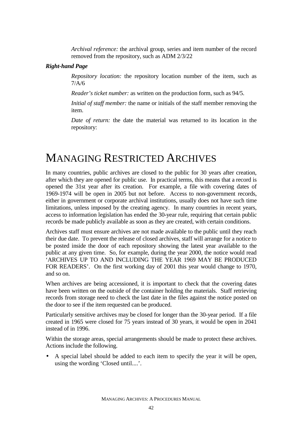*Archival reference:* the archival group, series and item number of the record removed from the repository, such as ADM 2/3/22

#### *Right-hand Page*

*Repository location:* the repository location number of the item, such as 7/A/6

*Reader's ticket number:* as written on the production form, such as 94/5.

*Initial of staff member:* the name or initials of the staff member removing the item.

*Date of return:* the date the material was returned to its location in the repository:

### MANAGING RESTRICTED ARCHIVES

In many countries, public archives are closed to the public for 30 years after creation, after which they are opened for public use. In practical terms, this means that a record is opened the 31st year after its creation. For example, a file with covering dates of 1969-1974 will be open in 2005 but not before. Access to non-government records, either in government or corporate archival institutions, usually does not have such time limitations, unless imposed by the creating agency. In many countries in recent years, access to information legislation has ended the 30-year rule, requiring that certain public records be made publicly available as soon as they are created, with certain conditions.

Archives staff must ensure archives are not made available to the public until they reach their due date. To prevent the release of closed archives, staff will arrange for a notice to be posted inside the door of each repository showing the latest year available to the public at any given time. So, for example, during the year 2000, the notice would read 'ARCHIVES UP TO AND INCLUDING THE YEAR 1969 MAY BE PRODUCED FOR READERS'. On the first working day of 2001 this year would change to 1970, and so on.

When archives are being accessioned, it is important to check that the covering dates have been written on the outside of the container holding the materials. Staff retrieving records from storage need to check the last date in the files against the notice posted on the door to see if the item requested can be produced.

Particularly sensitive archives may be closed for longer than the 30-year period. If a file created in 1965 were closed for 75 years instead of 30 years, it would be open in 2041 instead of in 1996.

Within the storage areas, special arrangements should be made to protect these archives. Actions include the following.

• A special label should be added to each item to specify the year it will be open, using the wording 'Closed until....'.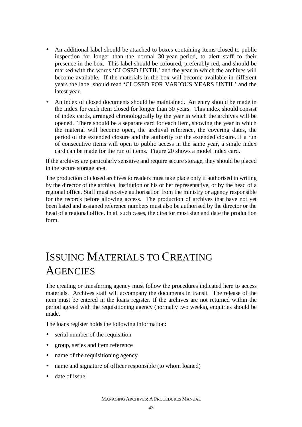- An additional label should be attached to boxes containing items closed to public inspection for longer than the normal 30-year period, to alert staff to their presence in the box. This label should be coloured, preferably red, and should be marked with the words 'CLOSED UNTIL' and the year in which the archives will become available. If the materials in the box will become available in different years the label should read 'CLOSED FOR VARIOUS YEARS UNTIL' and the latest year.
- An index of closed documents should be maintained. An entry should be made in the Index for each item closed for longer than 30 years. This index should consist of index cards, arranged chronologically by the year in which the archives will be opened. There should be a separate card for each item, showing the year in which the material will become open, the archival reference, the covering dates, the period of the extended closure and the authority for the extended closure. If a run of consecutive items will open to public access in the same year, a single index card can be made for the run of items. Figure 20 shows a model index card.

If the archives are particularly sensitive and require secure storage, they should be placed in the secure storage area.

The production of closed archives to readers must take place only if authorised in writing by the director of the archival institution or his or her representative, or by the head of a regional office. Staff must receive authorisation from the ministry or agency responsible for the records before allowing access. The production of archives that have not yet been listed and assigned reference numbers must also be authorised by the director or the head of a regional office. In all such cases, the director must sign and date the production form.

# ISSUING MATERIALS TO CREATING **AGENCIES**

The creating or transferring agency must follow the procedures indicated here to access materials. Archives staff will accompany the documents in transit. The release of the item must be entered in the loans register. If the archives are not returned within the period agreed with the requisitioning agency (normally two weeks), enquiries should be made.

The loans register holds the following information:

- serial number of the requisition
- group, series and item reference
- name of the requisitioning agency
- name and signature of officer responsible (to whom loaned)
- date of issue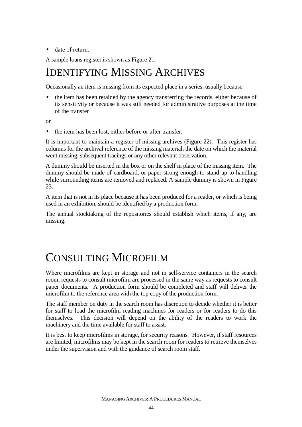• date of return.

A sample loans register is shown as Figure 21.

## IDENTIFYING MISSING ARCHIVES

Occasionally an item is missing from its expected place in a series, usually because

• the item has been retained by the agency transferring the records, either because of its sensitivity or because it was still needed for administrative purposes at the time of the transfer

or

• the item has been lost, either before or after transfer.

It is important to maintain a register of missing archives (Figure 22). This register has columns for the archival reference of the missing material, the date on which the material went missing, subsequent tracings or any other relevant observation.

A dummy should be inserted in the box or on the shelf in place of the missing item. The dummy should be made of cardboard, or paper strong enough to stand up to handling while surrounding items are removed and replaced. A sample dummy is shown in Figure 23.

A item that is not in its place because it has been produced for a reader, or which is being used in an exhibition, should be identified by a production form.

The annual stocktaking of the repositories should establish which items, if any, are missing.

## CONSULTING MICROFILM

Where microfilms are kept in storage and not in self-service containers in the search room, requests to consult microfilm are processed in the same way as requests to consult paper documents. A production form should be completed and staff will deliver the microfilm to the reference area with the top copy of the production form.

The staff member on duty in the search room has discretion to decide whether it is better for staff to load the microfilm reading machines for readers or for readers to do this themselves. This decision will depend on the ability of the readers to work the machinery and the time available for staff to assist.

It is best to keep microfilms in storage, for security reasons. However, if staff resources are limited, microfilms may be kept in the search room for readers to retrieve themselves under the supervision and with the guidance of search room staff.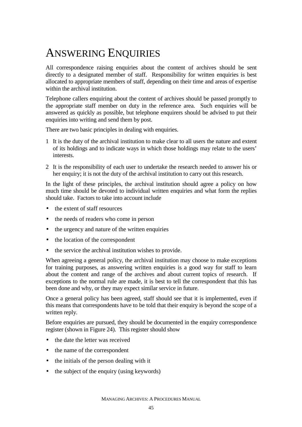# ANSWERING ENQUIRIES

All correspondence raising enquiries about the content of archives should be sent directly to a designated member of staff. Responsibility for written enquiries is best allocated to appropriate members of staff, depending on their time and areas of expertise within the archival institution.

Telephone callers enquiring about the content of archives should be passed promptly to the appropriate staff member on duty in the reference area. Such enquiries will be answered as quickly as possible, but telephone enquirers should be advised to put their enquiries into writing and send them by post.

There are two basic principles in dealing with enquiries.

- 1 It is the duty of the archival institution to make clear to all users the nature and extent of its holdings and to indicate ways in which those holdings may relate to the users' interests.
- 2 It is the responsibility of each user to undertake the research needed to answer his or her enquiry; it is not the duty of the archival institution to carry out this research.

In the light of these principles, the archival institution should agree a policy on how much time should be devoted to individual written enquiries and what form the replies should take. Factors to take into account include

- the extent of staff resources
- the needs of readers who come in person
- the urgency and nature of the written enquiries
- the location of the correspondent
- the service the archival institution wishes to provide.

When agreeing a general policy, the archival institution may choose to make exceptions for training purposes, as answering written enquiries is a good way for staff to learn about the content and range of the archives and about current topics of research. If exceptions to the normal rule are made, it is best to tell the correspondent that this has been done and why, or they may expect similar service in future.

Once a general policy has been agreed, staff should see that it is implemented, even if this means that correspondents have to be told that their enquiry is beyond the scope of a written reply.

Before enquiries are pursued, they should be documented in the enquiry correspondence register (shown in Figure 24). This register should show

- the date the letter was received
- the name of the correspondent
- the initials of the person dealing with it
- the subject of the enquiry (using keywords)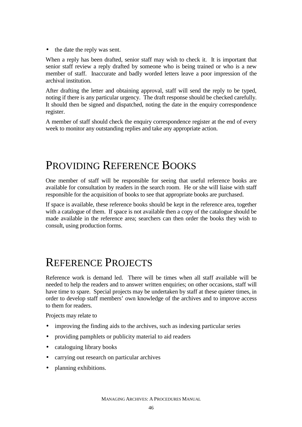• the date the reply was sent.

When a reply has been drafted, senior staff may wish to check it. It is important that senior staff review a reply drafted by someone who is being trained or who is a new member of staff. Inaccurate and badly worded letters leave a poor impression of the archival institution.

After drafting the letter and obtaining approval, staff will send the reply to be typed, noting if there is any particular urgency. The draft response should be checked carefully. It should then be signed and dispatched, noting the date in the enquiry correspondence register.

A member of staff should check the enquiry correspondence register at the end of every week to monitor any outstanding replies and take any appropriate action.

### PROVIDING REFERENCE BOOKS

One member of staff will be responsible for seeing that useful reference books are available for consultation by readers in the search room. He or she will liaise with staff responsible for the acquisition of books to see that appropriate books are purchased.

If space is available, these reference books should be kept in the reference area, together with a catalogue of them. If space is not available then a copy of the catalogue should be made available in the reference area; searchers can then order the books they wish to consult, using production forms.

### REFERENCE PROJECTS

Reference work is demand led. There will be times when all staff available will be needed to help the readers and to answer written enquiries; on other occasions, staff will have time to spare. Special projects may be undertaken by staff at these quieter times, in order to develop staff members' own knowledge of the archives and to improve access to them for readers.

Projects may relate to

- improving the finding aids to the archives, such as indexing particular series
- providing pamphlets or publicity material to aid readers
- cataloguing library books
- carrying out research on particular archives
- planning exhibitions.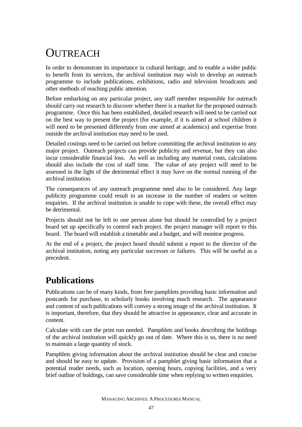# **OUTREACH**

In order to demonstrate its importance in cultural heritage, and to enable a wider public to benefit from its services, the archival institution may wish to develop an outreach programme to include publications, exhibitions, radio and television broadcasts and other methods of reaching public attention.

Before embarking on any particular project, any staff member responsible for outreach should carry out research to discover whether there is a market for the proposed outreach programme. Once this has been established, detailed research will need to be carried out on the best way to present the project (for example, if it is aimed at school children it will need to be presented differently from one aimed at academics) and expertise from outside the archival institution may need to be used.

Detailed costings need to be carried out before committing the archival institution to any major project. Outreach projects can provide publicity and revenue, but they can also incur considerable financial loss. As well as including any material costs, calculations should also include the cost of staff time. The value of any project will need to be assessed in the light of the detrimental effect it may have on the normal running of the archival institution.

The consequences of any outreach programme need also to be considered. Any large publicity programme could result in an increase in the number of readers or written enquiries. If the archival institution is unable to cope with these, the overall effect may be detrimental.

Projects should not be left to one person alone but should be controlled by a project board set up specifically to control each project. the project manager will report to this board. The board will establish a timetable and a budget, and will monitor progress.

At the end of a project, the project board should submit a report to the director of the archival institution, noting any particular successes or failures. This will be useful as a precedent.

### **Publications**

Publications can be of many kinds, from free pamphlets providing basic information and postcards for purchase, to scholarly books involving much research. The appearance and content of such publications will convey a strong image of the archival institution. It is important, therefore, that they should be attractive in appearance, clear and accurate in content.

Calculate with care the print run needed. Pamphlets and books describing the holdings of the archival institution will quickly go out of date. Where this is so, there is no need to maintain a large quantity of stock.

Pamphlets giving information about the archival institution should be clear and concise and should be easy to update. Provision of a pamphlet giving basic information that a potential reader needs, such as location, opening hours, copying facilities, and a very brief outline of holdings, can save considerable time when replying to written enquiries.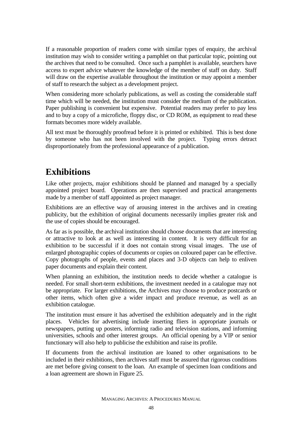If a reasonable proportion of readers come with similar types of enquiry, the archival institution may wish to consider writing a pamphlet on that particular topic, pointing out the archives that need to be consulted. Once such a pamphlet is available, searchers have access to expert advice whatever the knowledge of the member of staff on duty. Staff will draw on the expertise available throughout the institution or may appoint a member of staff to research the subject as a development project.

When considering more scholarly publications, as well as costing the considerable staff time which will be needed, the institution must consider the medium of the publication. Paper publishing is convenient but expensive. Potential readers may prefer to pay less and to buy a copy of a microfiche, floppy disc, or CD ROM, as equipment to read these formats becomes more widely available.

All text must be thoroughly proofread before it is printed or exhibited. This is best done by someone who has not been involved with the project. Typing errors detract disproportionately from the professional appearance of a publication.

### **Exhibitions**

Like other projects, major exhibitions should be planned and managed by a specially appointed project board. Operations are then supervised and practical arrangements made by a member of staff appointed as project manager.

Exhibitions are an effective way of arousing interest in the archives and in creating publicity, but the exhibition of original documents necessarily implies greater risk and the use of copies should be encouraged.

As far as is possible, the archival institution should choose documents that are interesting or attractive to look at as well as interesting in content. It is very difficult for an exhibition to be successful if it does not contain strong visual images. The use of enlarged photographic copies of documents or copies on coloured paper can be effective. Copy photographs of people, events and places and 3-D objects can help to enliven paper documents and explain their content.

When planning an exhibition, the institution needs to decide whether a catalogue is needed. For small short-term exhibitions, the investment needed in a catalogue may not be appropriate. For larger exhibitions, the Archives may choose to produce postcards or other items, which often give a wider impact and produce revenue, as well as an exhibition catalogue.

The institution must ensure it has advertised the exhibition adequately and in the right places. Vehicles for advertising include inserting fliers in appropriate journals or newspapers, putting up posters, informing radio and television stations, and informing universities, schools and other interest groups. An official opening by a VIP or senior functionary will also help to publicise the exhibition and raise its profile.

If documents from the archival institution are loaned to other organisations to be included in their exhibitions, then archives staff must be assured that rigorous conditions are met before giving consent to the loan. An example of specimen loan conditions and a loan agreement are shown in Figure 25.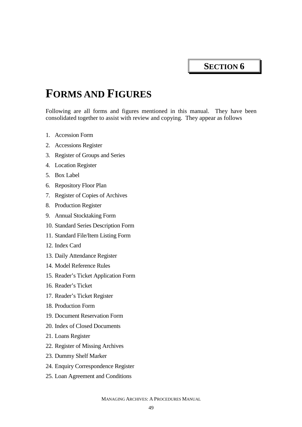**SECTION 6** 

## **FORMS AND FIGURES**

Following are all forms and figures mentioned in this manual. They have been consolidated together to assist with review and copying. They appear as follows

- 1. Accession Form
- 2. Accessions Register
- 3. Register of Groups and Series
- 4. Location Register
- 5. Box Label
- 6. Repository Floor Plan
- 7. Register of Copies of Archives
- 8. Production Register
- 9. Annual Stocktaking Form
- 10. Standard Series Description Form
- 11. Standard File/Item Listing Form
- 12. Index Card
- 13. Daily Attendance Register
- 14. Model Reference Rules
- 15. Reader's Ticket Application Form
- 16. Reader's Ticket
- 17. Reader's Ticket Register
- 18. Production Form
- 19. Document Reservation Form
- 20. Index of Closed Documents
- 21. Loans Register
- 22. Register of Missing Archives
- 23. Dummy Shelf Marker
- 24. Enquiry Correspondence Register
- 25. Loan Agreement and Conditions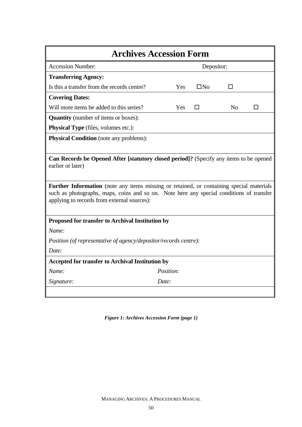| <b>Archives Accession Form</b>                                                                                                                                                                                                             |            |           |                |   |  |  |
|--------------------------------------------------------------------------------------------------------------------------------------------------------------------------------------------------------------------------------------------|------------|-----------|----------------|---|--|--|
| <b>Accession Number:</b>                                                                                                                                                                                                                   | Depositor: |           |                |   |  |  |
| <b>Transferring Agency:</b>                                                                                                                                                                                                                |            |           |                |   |  |  |
| Is this a transfer from the records centre?                                                                                                                                                                                                | Yes        | $\Box$ No | п              |   |  |  |
| <b>Covering Dates:</b>                                                                                                                                                                                                                     |            |           |                |   |  |  |
| Will more items be added to this series?                                                                                                                                                                                                   | Yes        | □         | N <sub>0</sub> | П |  |  |
| <b>Quantity</b> (number of items or boxes):                                                                                                                                                                                                |            |           |                |   |  |  |
| <b>Physical Type</b> (files, volumes etc.):                                                                                                                                                                                                |            |           |                |   |  |  |
| <b>Physical Condition</b> (note any problems):                                                                                                                                                                                             |            |           |                |   |  |  |
|                                                                                                                                                                                                                                            |            |           |                |   |  |  |
| Can Records be Opened After [statutory closed period]? (Specify any items to be opened<br>earlier or later)                                                                                                                                |            |           |                |   |  |  |
| <b>Further Information</b> (note any items missing or retained, or containing special materials<br>such as photographs, maps, coins and so on. Note here any special conditions of transfer<br>applying to records from external sources): |            |           |                |   |  |  |
| Proposed for transfer to Archival Institution by                                                                                                                                                                                           |            |           |                |   |  |  |
| Name:                                                                                                                                                                                                                                      |            |           |                |   |  |  |
| <i>Position (of representative of agency/depositor/records centre):</i>                                                                                                                                                                    |            |           |                |   |  |  |
| Date:                                                                                                                                                                                                                                      |            |           |                |   |  |  |
| <b>Accepted for transfer to Archival Institution by</b>                                                                                                                                                                                    |            |           |                |   |  |  |
| Name:                                                                                                                                                                                                                                      | Position:  |           |                |   |  |  |
| Signature:                                                                                                                                                                                                                                 | Date:      |           |                |   |  |  |
|                                                                                                                                                                                                                                            |            |           |                |   |  |  |

*Figure 1: Archives Accession Form (page 1)*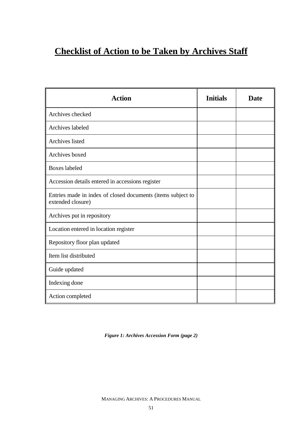### **Checklist of Action to be Taken by Archives Staff**

| <b>Action</b>                                                                    | <b>Initials</b> | <b>Date</b> |
|----------------------------------------------------------------------------------|-----------------|-------------|
| Archives checked                                                                 |                 |             |
| <b>Archives</b> labeled                                                          |                 |             |
| <b>Archives</b> listed                                                           |                 |             |
| Archives boxed                                                                   |                 |             |
| <b>Boxes</b> labeled                                                             |                 |             |
| Accession details entered in accessions register                                 |                 |             |
| Entries made in index of closed documents (items subject to<br>extended closure) |                 |             |
| Archives put in repository                                                       |                 |             |
| Location entered in location register                                            |                 |             |
| Repository floor plan updated                                                    |                 |             |
| Item list distributed                                                            |                 |             |
| Guide updated                                                                    |                 |             |
| Indexing done                                                                    |                 |             |
| Action completed                                                                 |                 |             |

*Figure 1: Archives Accession Form (page 2)*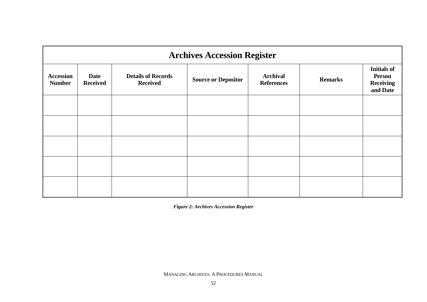| <b>Archives Accession Register</b> |                                |                                              |                            |                                      |                |                                                                     |  |  |
|------------------------------------|--------------------------------|----------------------------------------------|----------------------------|--------------------------------------|----------------|---------------------------------------------------------------------|--|--|
| <b>Accession</b><br><b>Number</b>  | <b>Date</b><br><b>Received</b> | <b>Details of Records</b><br><b>Received</b> | <b>Source or Depositor</b> | <b>Archival</b><br><b>References</b> | <b>Remarks</b> | <b>Initials of</b><br><b>Person</b><br><b>Receiving</b><br>and Date |  |  |
|                                    |                                |                                              |                            |                                      |                |                                                                     |  |  |
|                                    |                                |                                              |                            |                                      |                |                                                                     |  |  |
|                                    |                                |                                              |                            |                                      |                |                                                                     |  |  |
|                                    |                                |                                              |                            |                                      |                |                                                                     |  |  |
|                                    |                                |                                              |                            |                                      |                |                                                                     |  |  |

*Figure 2: Archives Accession Register*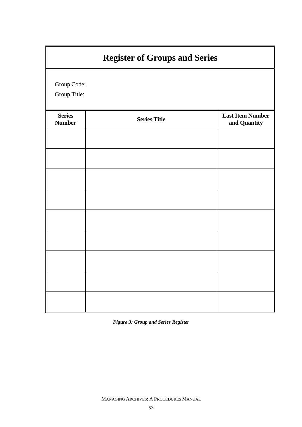| <b>Register of Groups and Series</b> |                     |                                         |  |  |  |  |
|--------------------------------------|---------------------|-----------------------------------------|--|--|--|--|
| Group Code:<br>Group Title:          |                     |                                         |  |  |  |  |
| <b>Series</b><br><b>Number</b>       | <b>Series Title</b> | <b>Last Item Number</b><br>and Quantity |  |  |  |  |
|                                      |                     |                                         |  |  |  |  |
|                                      |                     |                                         |  |  |  |  |
|                                      |                     |                                         |  |  |  |  |
|                                      |                     |                                         |  |  |  |  |
|                                      |                     |                                         |  |  |  |  |
|                                      |                     |                                         |  |  |  |  |
|                                      |                     |                                         |  |  |  |  |
|                                      |                     |                                         |  |  |  |  |
|                                      |                     |                                         |  |  |  |  |

*Figure 3: Group and Series Register*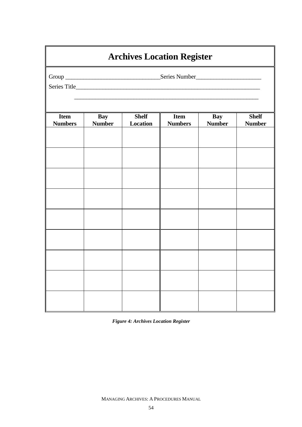| <b>Archives Location Register</b> |                             |                          |                               |                      |                               |  |  |  |
|-----------------------------------|-----------------------------|--------------------------|-------------------------------|----------------------|-------------------------------|--|--|--|
|                                   |                             |                          |                               |                      |                               |  |  |  |
|                                   |                             |                          |                               |                      |                               |  |  |  |
|                                   |                             |                          |                               |                      |                               |  |  |  |
| <b>Item</b><br><b>Numbers</b>     | <b>Bay</b><br><b>Number</b> | <b>Shelf</b><br>Location | <b>Item</b><br><b>Numbers</b> | Bay<br><b>Number</b> | <b>Shelf</b><br><b>Number</b> |  |  |  |
|                                   |                             |                          |                               |                      |                               |  |  |  |
|                                   |                             |                          |                               |                      |                               |  |  |  |
|                                   |                             |                          |                               |                      |                               |  |  |  |
|                                   |                             |                          |                               |                      |                               |  |  |  |
|                                   |                             |                          |                               |                      |                               |  |  |  |
|                                   |                             |                          |                               |                      |                               |  |  |  |
|                                   |                             |                          |                               |                      |                               |  |  |  |
|                                   |                             |                          |                               |                      |                               |  |  |  |
|                                   |                             |                          |                               |                      |                               |  |  |  |
|                                   |                             |                          |                               |                      |                               |  |  |  |
|                                   |                             |                          |                               |                      |                               |  |  |  |
|                                   |                             |                          |                               |                      |                               |  |  |  |

*Figure 4: Archives Location Register*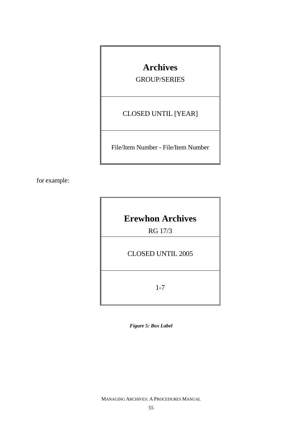### **Archives**

GROUP/SERIES

CLOSED UNTIL [YEAR]

File/Item Number - File/Item Number

for example:

**Erewhon Archives** 

RG 17/3

CLOSED UNTIL 2005

1-7

*Figure 5: Box Label*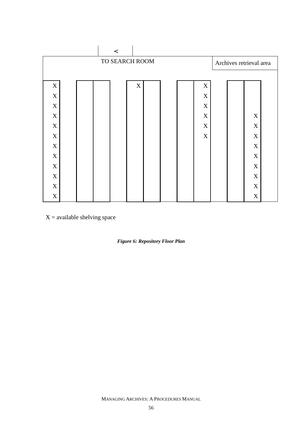|             |                |  | $\,<\,$ |             |  |  |  |                         |  |             |  |
|-------------|----------------|--|---------|-------------|--|--|--|-------------------------|--|-------------|--|
|             | TO SEARCH ROOM |  |         |             |  |  |  | Archives retrieval area |  |             |  |
|             |                |  |         |             |  |  |  |                         |  |             |  |
| $\mathbf X$ |                |  |         | $\mathbf X$ |  |  |  | $\mathbf X$             |  |             |  |
| $\mathbf X$ |                |  |         |             |  |  |  | $\mathbf X$             |  |             |  |
| $\mathbf X$ |                |  |         |             |  |  |  | $\mathbf X$             |  |             |  |
| $\mathbf X$ |                |  |         |             |  |  |  | $\mathbf X$             |  | $\mathbf X$ |  |
| $\mathbf X$ |                |  |         |             |  |  |  | $\mathbf X$             |  | $\mathbf X$ |  |
| $\mathbf X$ |                |  |         |             |  |  |  | $\mathbf X$             |  | $\mathbf X$ |  |
| $\mathbf X$ |                |  |         |             |  |  |  |                         |  | $\mathbf X$ |  |
| $\mathbf X$ |                |  |         |             |  |  |  |                         |  | $\mathbf X$ |  |
| $\mathbf X$ |                |  |         |             |  |  |  |                         |  | $\mathbf X$ |  |
| $\mathbf X$ |                |  |         |             |  |  |  |                         |  | $\mathbf X$ |  |
| $\mathbf X$ |                |  |         |             |  |  |  |                         |  | $\mathbf X$ |  |
| $\mathbf X$ |                |  |         |             |  |  |  |                         |  | $\mathbf X$ |  |

 $X =$  available shelving space

*Figure 6: Repository Floor Plan*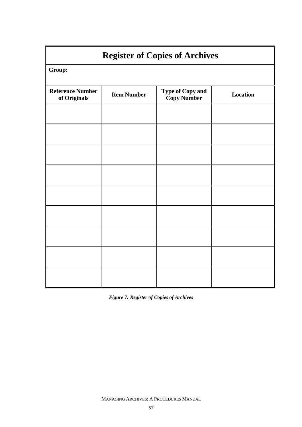| <b>Register of Copies of Archives</b>   |                    |                                               |                 |  |  |  |  |
|-----------------------------------------|--------------------|-----------------------------------------------|-----------------|--|--|--|--|
| Group:                                  |                    |                                               |                 |  |  |  |  |
| <b>Reference Number</b><br>of Originals | <b>Item Number</b> | <b>Type of Copy and</b><br><b>Copy Number</b> | <b>Location</b> |  |  |  |  |
|                                         |                    |                                               |                 |  |  |  |  |
|                                         |                    |                                               |                 |  |  |  |  |
|                                         |                    |                                               |                 |  |  |  |  |
|                                         |                    |                                               |                 |  |  |  |  |
|                                         |                    |                                               |                 |  |  |  |  |
|                                         |                    |                                               |                 |  |  |  |  |
|                                         |                    |                                               |                 |  |  |  |  |
|                                         |                    |                                               |                 |  |  |  |  |
|                                         |                    |                                               |                 |  |  |  |  |

*Figure 7: Register of Copies of Archives*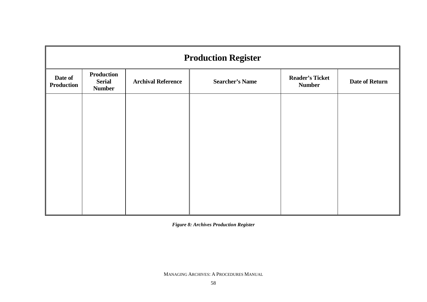| <b>Production Register</b>   |                                                     |                           |                        |                                         |                       |  |  |
|------------------------------|-----------------------------------------------------|---------------------------|------------------------|-----------------------------------------|-----------------------|--|--|
| Date of<br><b>Production</b> | <b>Production</b><br><b>Serial</b><br><b>Number</b> | <b>Archival Reference</b> | <b>Searcher's Name</b> | <b>Reader's Ticket</b><br><b>Number</b> | <b>Date of Return</b> |  |  |
|                              |                                                     |                           |                        |                                         |                       |  |  |
|                              |                                                     |                           |                        |                                         |                       |  |  |
|                              |                                                     |                           |                        |                                         |                       |  |  |
|                              |                                                     |                           |                        |                                         |                       |  |  |
|                              |                                                     |                           |                        |                                         |                       |  |  |
|                              |                                                     |                           |                        |                                         |                       |  |  |

*Figure 8: Archives Production Register*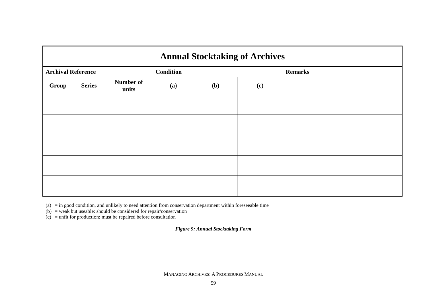|                           | <b>Annual Stocktaking of Archives</b> |                    |                  |     |     |                |  |  |  |
|---------------------------|---------------------------------------|--------------------|------------------|-----|-----|----------------|--|--|--|
| <b>Archival Reference</b> |                                       |                    | <b>Condition</b> |     |     | <b>Remarks</b> |  |  |  |
| Group                     | <b>Series</b>                         | Number of<br>units | (a)              | (b) | (c) |                |  |  |  |
|                           |                                       |                    |                  |     |     |                |  |  |  |
|                           |                                       |                    |                  |     |     |                |  |  |  |
|                           |                                       |                    |                  |     |     |                |  |  |  |
|                           |                                       |                    |                  |     |     |                |  |  |  |
|                           |                                       |                    |                  |     |     |                |  |  |  |

(a) = in good condition, and unlikely to need attention from conservation department within foreseeable time

(b) = weak but useable: should be considered for repair/conservation

(c) = unfit for production: must be repaired before consultation

*Figure 9: Annual Stocktaking Form*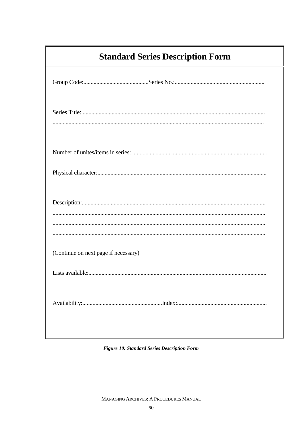| <b>Standard Series Description Form</b> |
|-----------------------------------------|
|                                         |
|                                         |
|                                         |
|                                         |
|                                         |
| (Continue on next page if necessary)    |
|                                         |
|                                         |

Figure 10: Standard Series Description Form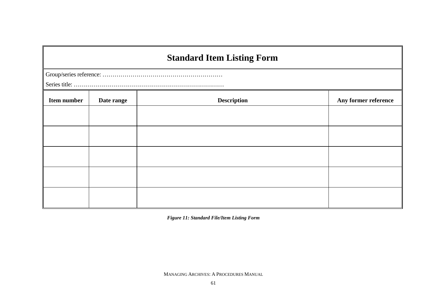## **Standard Item Listing Form**

| <b>Item number</b> | Date range | <b>Description</b> | Any former reference |  |  |  |
|--------------------|------------|--------------------|----------------------|--|--|--|
|                    |            |                    |                      |  |  |  |
|                    |            |                    |                      |  |  |  |
|                    |            |                    |                      |  |  |  |
|                    |            |                    |                      |  |  |  |
|                    |            |                    |                      |  |  |  |

*Figure 11: Standard File/Item Listing Form*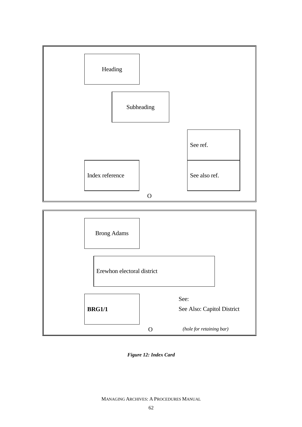

*Figure 12: Index Card*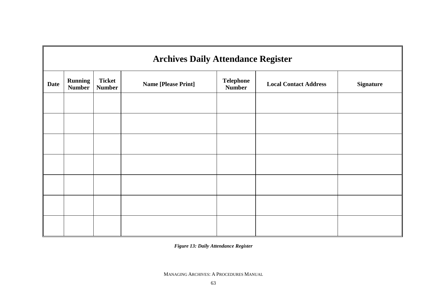| <b>Archives Daily Attendance Register</b> |                                 |                                |                            |                                   |                              |                  |  |  |
|-------------------------------------------|---------------------------------|--------------------------------|----------------------------|-----------------------------------|------------------------------|------------------|--|--|
| <b>Date</b>                               | <b>Running</b><br><b>Number</b> | <b>Ticket</b><br><b>Number</b> | <b>Name [Please Print]</b> | <b>Telephone</b><br><b>Number</b> | <b>Local Contact Address</b> | <b>Signature</b> |  |  |
|                                           |                                 |                                |                            |                                   |                              |                  |  |  |
|                                           |                                 |                                |                            |                                   |                              |                  |  |  |
|                                           |                                 |                                |                            |                                   |                              |                  |  |  |
|                                           |                                 |                                |                            |                                   |                              |                  |  |  |
|                                           |                                 |                                |                            |                                   |                              |                  |  |  |
|                                           |                                 |                                |                            |                                   |                              |                  |  |  |
|                                           |                                 |                                |                            |                                   |                              |                  |  |  |

*Figure 13: Daily Attendance Register*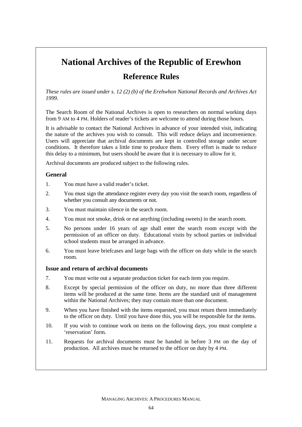# **National Archives of the Republic of Erewhon Reference Rules**

*These rules are issued under s. 12 (2) (b) of the Erehwhon National Records and Archives Act 1999.* 

The Search Room of the National Archives is open to researchers on normal working days from 9 AM to 4 PM. Holders of reader's tickets are welcome to attend during those hours.

It is advisable to contact the National Archives in advance of your intended visit, indicating the nature of the archives you wish to consult. This will reduce delays and inconvenience. Users will appreciate that archival documents are kept in controlled storage under secure conditions. It therefore takes a little time to produce them. Every effort is made to reduce this delay to a minimum, but users should be aware that it is necessary to allow for it.

Archival documents are produced subject to the following rules.

### **General**

- 1. You must have a valid reader's ticket.
- 2. You must sign the attendance register every day you visit the search room, regardless of whether you consult any documents or not.
- 3. You must maintain silence in the search room.
- 4. You must not smoke, drink or eat anything (including sweets) in the search room.
- 5. No persons under 16 years of age shall enter the search room except with the permission of an officer on duty. Educational visits by school parties or individual school students must be arranged in advance.
- 6. You must leave briefcases and large bags with the officer on duty while in the search room.

#### **Issue and return of archival documents**

- 7. You must write out a separate production ticket for each item you require.
- 8. Except by special permission of the officer on duty, no more than three different items will be produced at the same time. Items are the standard unit of management within the National Archives; they may contain more than one document.
- 9. When you have finished with the items requested, you must return them immediately to the officer on duty. Until you have done this, you will be responsible for the items.
- 10. If you wish to continue work on items on the following days, you must complete a 'reservation' form.
- 11. Requests for archival documents must be handed in before 3 PM on the day of production. All archives must be returned to the officer on duty by 4 PM.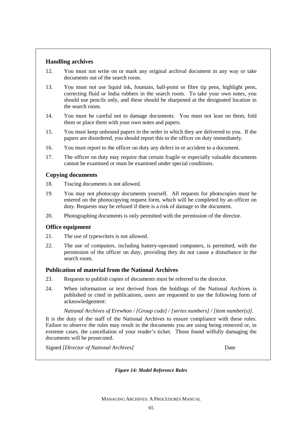# **Handling archives**

- 12. You must not write on or mark any original archival document in any way or take documents out of the search room.
- 13. You must not use liquid ink, fountain, ball-point or fibre tip pens, highlight pens, correcting fluid or India rubbers in the search room. To take your own notes, you should use pencils only, and these should be sharpened at the designated location in the search room.
- 14. You must be careful not to damage documents. You must not lean on them, fold them or place them with your own notes and papers.
- 15. You must keep unbound papers in the order in which they are delivered to you. If the papers are disordered, you should report this to the officer on duty immediately.
- 16. You must report to the officer on duty any defect in or accident to a document.
- 17. The officer on duty may require that certain fragile or especially valuable documents cannot be examined or must be examined under special conditions.

### **Copying documents**

- 18. Tracing documents is not allowed.
- 19. You may not photocopy documents yourself. All requests for photocopies must be entered on the photocopying request form, which will be completed by an officer on duty. Requests may be refused if there is a risk of damage to the document.
- 20. Photographing documents is only permitted with the permission of the director.

### **Office equipment**

- 21. The use of typewriters is not allowed.
- 22. The use of computers, including battery-operated computers, is permitted, with the permission of the officer on duty, providing they do not cause a disturbance in the search room.

### **Publication of material from the National Archives**

- 23. Requests to publish copies of documents must be referred to the director.
- 24. When information or text derived from the holdings of the National Archives is published or cited in publications, users are requested to use the following form of acknowledgement:

 *National Archives of Erewhon / [Group code] / [series numbers] / [item number(s)].* 

It is the duty of the staff of the National Archives to ensure compliance with these rules. Failure to observe the rules may result in the documents you are using being removed or, in extreme cases, the cancellation of your reader's ticket. Those found wilfully damaging the documents will be prosecuted.

Signed *[Director of National Archives]* Date

*Figure 14: Model Reference Rules*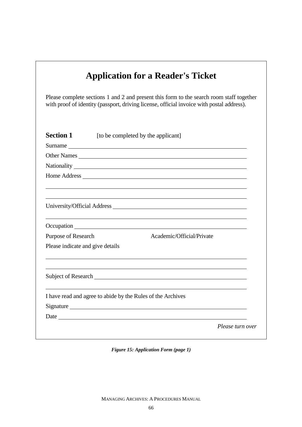|                                                                                | Please complete sections 1 and 2 and present this form to the search room staff together<br>with proof of identity (passport, driving license, official invoice with postal address).                                                |
|--------------------------------------------------------------------------------|--------------------------------------------------------------------------------------------------------------------------------------------------------------------------------------------------------------------------------------|
| <b>Section 1</b>                                                               | [to be completed by the applicant]                                                                                                                                                                                                   |
|                                                                                | Surname<br>Other Names                                                                                                                                                                                                               |
|                                                                                |                                                                                                                                                                                                                                      |
|                                                                                | Home Address <u>and the same of the same of the same of the same of the same of the same of the same of the same of the same of the same of the same of the same of the same of the same of the same of the same of the same of </u> |
|                                                                                |                                                                                                                                                                                                                                      |
|                                                                                |                                                                                                                                                                                                                                      |
|                                                                                | Academic/Official/Private                                                                                                                                                                                                            |
|                                                                                |                                                                                                                                                                                                                                      |
| Purpose of Research<br>Please indicate and give details<br>Subject of Research | <u> 1989 - Johann Stein, mars an de Francisco (f. 1989)</u>                                                                                                                                                                          |
|                                                                                | I have read and agree to abide by the Rules of the Archives                                                                                                                                                                          |
|                                                                                | Signature                                                                                                                                                                                                                            |

*Figure 15: Application Form (page 1)*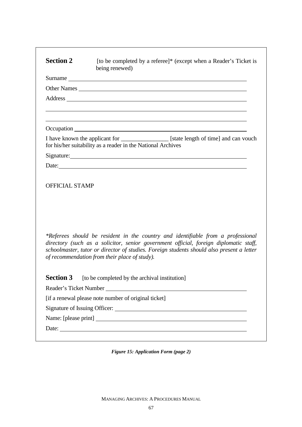| <b>Section 2</b>                          | [to be completed by a referee]* (except when a Reader's Ticket is<br>being renewed)                                                                                                                                                                                                                                     |
|-------------------------------------------|-------------------------------------------------------------------------------------------------------------------------------------------------------------------------------------------------------------------------------------------------------------------------------------------------------------------------|
|                                           |                                                                                                                                                                                                                                                                                                                         |
|                                           |                                                                                                                                                                                                                                                                                                                         |
|                                           |                                                                                                                                                                                                                                                                                                                         |
|                                           |                                                                                                                                                                                                                                                                                                                         |
|                                           | I have known the applicant for ________________ [state length of time] and can vouch<br>for his/her suitability as a reader in the National Archives                                                                                                                                                                    |
|                                           |                                                                                                                                                                                                                                                                                                                         |
|                                           |                                                                                                                                                                                                                                                                                                                         |
|                                           |                                                                                                                                                                                                                                                                                                                         |
|                                           | *Referees should be resident in the country and identifiable from a professional<br>directory (such as a solicitor, senior government official, foreign diplomatic staff,<br>schoolmaster, tutor or director of studies. Foreign students should also present a letter<br>of recommendation from their place of study). |
|                                           | [to be completed by the archival institution]                                                                                                                                                                                                                                                                           |
|                                           | Reader's Ticket Number New York Channels and School and School and School and School and School and School and School and School and School and School and School and School and School and School and School and School and S                                                                                          |
|                                           | [if a renewal please note number of original ticket]                                                                                                                                                                                                                                                                    |
|                                           |                                                                                                                                                                                                                                                                                                                         |
| <b>OFFICIAL STAMP</b><br><b>Section 3</b> |                                                                                                                                                                                                                                                                                                                         |

*Figure 15: Application Form (page 2)*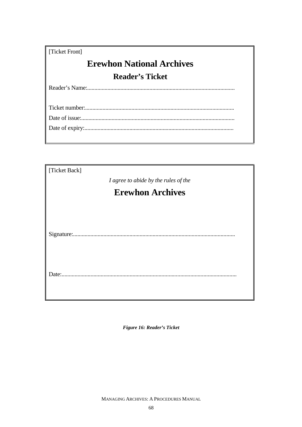| [Ticket Front]                   |
|----------------------------------|
| <b>Erewhon National Archives</b> |
| <b>Reader's Ticket</b>           |
|                                  |
|                                  |
|                                  |
|                                  |
|                                  |
|                                  |

| [Ticket Back]                        |  |  |  |  |  |  |
|--------------------------------------|--|--|--|--|--|--|
| I agree to abide by the rules of the |  |  |  |  |  |  |
| <b>Erewhon Archives</b>              |  |  |  |  |  |  |
|                                      |  |  |  |  |  |  |
|                                      |  |  |  |  |  |  |
| Date:.                               |  |  |  |  |  |  |

Figure 16: Reader's Ticket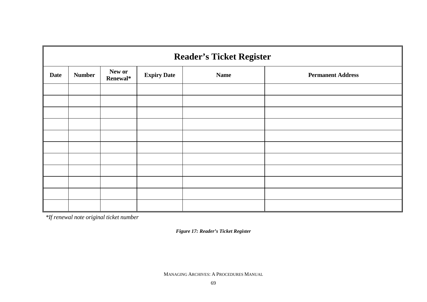|             | <b>Reader's Ticket Register</b> |                    |                    |             |                          |  |  |  |  |
|-------------|---------------------------------|--------------------|--------------------|-------------|--------------------------|--|--|--|--|
| <b>Date</b> | <b>Number</b>                   | New or<br>Renewal* | <b>Expiry Date</b> | <b>Name</b> | <b>Permanent Address</b> |  |  |  |  |
|             |                                 |                    |                    |             |                          |  |  |  |  |
|             |                                 |                    |                    |             |                          |  |  |  |  |
|             |                                 |                    |                    |             |                          |  |  |  |  |
|             |                                 |                    |                    |             |                          |  |  |  |  |
|             |                                 |                    |                    |             |                          |  |  |  |  |
|             |                                 |                    |                    |             |                          |  |  |  |  |
|             |                                 |                    |                    |             |                          |  |  |  |  |
|             |                                 |                    |                    |             |                          |  |  |  |  |
|             |                                 |                    |                    |             |                          |  |  |  |  |
|             |                                 |                    |                    |             |                          |  |  |  |  |
|             |                                 |                    |                    |             |                          |  |  |  |  |

*\*If renewal note original ticket number* 

*Figure 17: Reader's Ticket Register*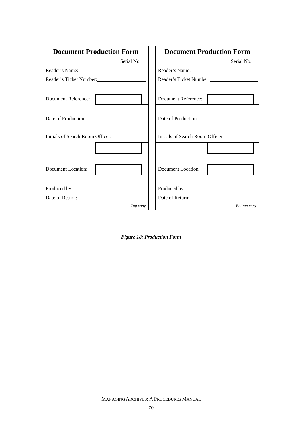| <b>Document Production Form</b>                                                                                                                                                                                                | <b>Document Production Form</b>  |
|--------------------------------------------------------------------------------------------------------------------------------------------------------------------------------------------------------------------------------|----------------------------------|
| Serial No.                                                                                                                                                                                                                     | Serial No.                       |
| Reader's Name:                                                                                                                                                                                                                 | Reader's Name: 1988              |
| Reader's Ticket Number:                                                                                                                                                                                                        | Reader's Ticket Number:          |
|                                                                                                                                                                                                                                |                                  |
| <b>Document Reference:</b>                                                                                                                                                                                                     | Document Reference:              |
|                                                                                                                                                                                                                                |                                  |
| Date of Production:                                                                                                                                                                                                            | Date of Production:              |
|                                                                                                                                                                                                                                |                                  |
| Initials of Search Room Officer:                                                                                                                                                                                               | Initials of Search Room Officer: |
|                                                                                                                                                                                                                                |                                  |
|                                                                                                                                                                                                                                |                                  |
| Document Location:                                                                                                                                                                                                             | Document Location:               |
|                                                                                                                                                                                                                                |                                  |
| Produced by: Note and Separate and Separate and Separate and Separate and Separate and Separate and Separate and Separate and Separate and Separate and Separate and Separate and Separate and Separate and Separate and Separ |                                  |
| Date of Return:                                                                                                                                                                                                                | Date of Return:                  |
| Top copy                                                                                                                                                                                                                       | <b>Bottom</b> copy               |

*Figure 18: Production Form*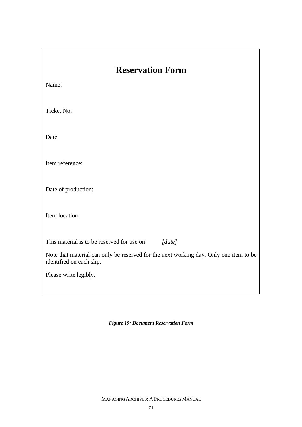| <b>Reservation Form</b>                                                                                           |  |  |  |  |  |  |
|-------------------------------------------------------------------------------------------------------------------|--|--|--|--|--|--|
| Name:                                                                                                             |  |  |  |  |  |  |
| <b>Ticket No:</b>                                                                                                 |  |  |  |  |  |  |
| Date:                                                                                                             |  |  |  |  |  |  |
| Item reference:                                                                                                   |  |  |  |  |  |  |
| Date of production:                                                                                               |  |  |  |  |  |  |
| Item location:                                                                                                    |  |  |  |  |  |  |
| This material is to be reserved for use on<br>[date]                                                              |  |  |  |  |  |  |
| Note that material can only be reserved for the next working day. Only one item to be<br>identified on each slip. |  |  |  |  |  |  |
| Please write legibly.                                                                                             |  |  |  |  |  |  |
|                                                                                                                   |  |  |  |  |  |  |

*Figure 19: Document Reservation Form*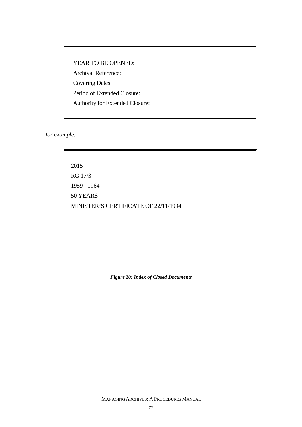YEAR TO BE OPENED: Archival Reference: Covering Dates: Period of Extended Closure: Authority for Extended Closure:

*for example:*

2015 RG 17/3 1959 - 1964 50 YEARS MINISTER'S CERTIFICATE OF 22/11/1994

*Figure 20: Index of Closed Documents*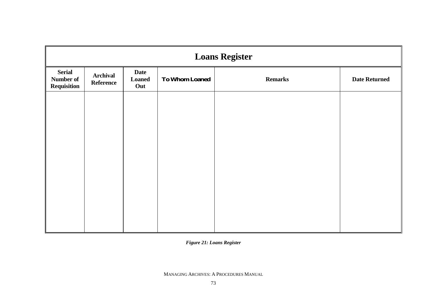| <b>Loans Register</b>                     |                |                      |  |  |  |  |  |
|-------------------------------------------|----------------|----------------------|--|--|--|--|--|
| <b>Serial</b><br>Number of<br>Requisition | <b>Remarks</b> | <b>Date Returned</b> |  |  |  |  |  |
|                                           |                |                      |  |  |  |  |  |
|                                           |                |                      |  |  |  |  |  |
|                                           |                |                      |  |  |  |  |  |
|                                           |                |                      |  |  |  |  |  |
|                                           |                |                      |  |  |  |  |  |
|                                           |                |                      |  |  |  |  |  |

*Figure 21: Loans Register*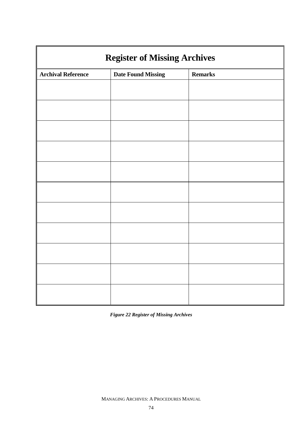| <b>Register of Missing Archives</b> |                           |                |  |  |  |  |
|-------------------------------------|---------------------------|----------------|--|--|--|--|
| <b>Archival Reference</b>           | <b>Date Found Missing</b> | <b>Remarks</b> |  |  |  |  |
|                                     |                           |                |  |  |  |  |
|                                     |                           |                |  |  |  |  |
|                                     |                           |                |  |  |  |  |
|                                     |                           |                |  |  |  |  |
|                                     |                           |                |  |  |  |  |
|                                     |                           |                |  |  |  |  |
|                                     |                           |                |  |  |  |  |
|                                     |                           |                |  |  |  |  |
|                                     |                           |                |  |  |  |  |
|                                     |                           |                |  |  |  |  |
|                                     |                           |                |  |  |  |  |

*Figure 22 Register of Missing Archives*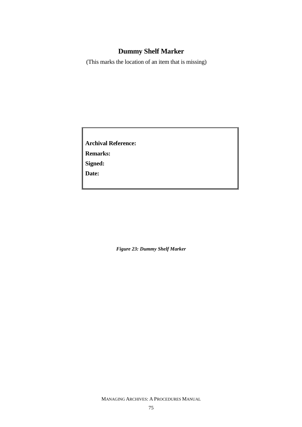# **Dummy Shelf Marker**

(This marks the location of an item that is missing)

**Archival Reference: Remarks: Signed: Date:** 

*Figure 23: Dummy Shelf Marker*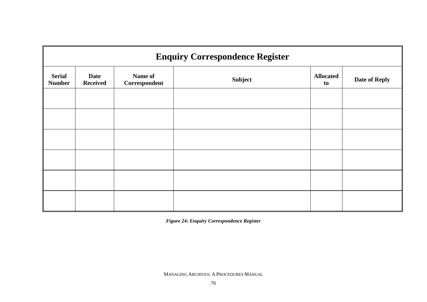| <b>Enquiry Correspondence Register</b> |                                |                          |                |                        |                      |  |  |
|----------------------------------------|--------------------------------|--------------------------|----------------|------------------------|----------------------|--|--|
| <b>Serial</b><br><b>Number</b>         | <b>Date</b><br><b>Received</b> | Name of<br>Correspondent | <b>Subject</b> | <b>Allocated</b><br>to | <b>Date of Reply</b> |  |  |
|                                        |                                |                          |                |                        |                      |  |  |
|                                        |                                |                          |                |                        |                      |  |  |
|                                        |                                |                          |                |                        |                      |  |  |
|                                        |                                |                          |                |                        |                      |  |  |
|                                        |                                |                          |                |                        |                      |  |  |
|                                        |                                |                          |                |                        |                      |  |  |

*Figure 24: Enquiry Correspondence Register*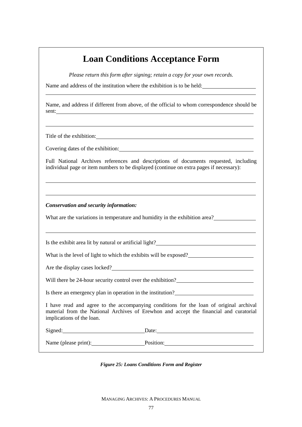# **Loan Conditions Acceptance Form**

*Please return this form after signing; retain a copy for your own records.* 

Name and address of the institution where the exhibition is to be held:

Name, and address if different from above, of the official to whom correspondence should be sent:

Title of the exhibition:

Covering dates of the exhibition:

Full National Archives references and descriptions of documents requested, including individual page or item numbers to be displayed (continue on extra pages if necessary):

*Conservation and security information:*

What are the variations in temperature and humidity in the exhibition area?

Is the exhibit area lit by natural or artificial light?

What is the level of light to which the exhibits will be exposed?

Are the display cases locked?

Will there be 24-hour security control over the exhibition?

Is there an emergency plan in operation in the institution?

I have read and agree to the accompanying conditions for the loan of original archival material from the National Archives of Erewhon and accept the financial and curatorial implications of the loan.

Signed: Date:

Name (please print): Position: Position:

*Figure 25: Loans Conditions Form and Register*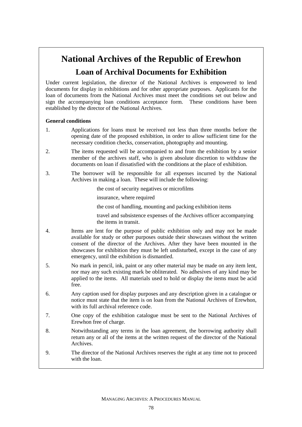# **National Archives of the Republic of Erewhon Loan of Archival Documents for Exhibition**

Under current legislation, the director of the National Archives is empowered to lend documents for display in exhibitions and for other appropriate purposes. Applicants for the loan of documents from the National Archives must meet the conditions set out below and sign the accompanying loan conditions acceptance form. These conditions have been established by the director of the National Archives.

### **General conditions**

- 1. Applications for loans must be received not less than three months before the opening date of the proposed exhibition, in order to allow sufficient time for the necessary condition checks, conservation, photography and mounting.
- 2. The items requested will be accompanied to and from the exhibition by a senior member of the archives staff, who is given absolute discretion to withdraw the documents on loan if dissatisfied with the conditions at the place of exhibition.
- 3. The borrower will be responsible for all expenses incurred by the National Archives in making a loan. These will include the following:
	- the cost of security negatives or microfilms
	- insurance, where required
	- the cost of handling, mounting and packing exhibition items

 travel and subsistence expenses of the Archives officer accompanying the items in transit.

- 4. Items are lent for the purpose of public exhibition only and may not be made available for study or other purposes outside their showcases without the written consent of the director of the Archives. After they have been mounted in the showcases for exhibition they must be left undisturbed, except in the case of any emergency, until the exhibition is dismantled.
- 5. No mark in pencil, ink, paint or any other material may be made on any item lent, nor may any such existing mark be obliterated. No adhesives of any kind may be applied to the items. All materials used to hold or display the items must be acid free.
- 6. Any caption used for display purposes and any description given in a catalogue or notice must state that the item is on loan from the National Archives of Erewhon, with its full archival reference code.
- 7. One copy of the exhibition catalogue must be sent to the National Archives of Erewhon free of charge.
- 8. Notwithstanding any terms in the loan agreement, the borrowing authority shall return any or all of the items at the written request of the director of the National Archives.
- 9. The director of the National Archives reserves the right at any time not to proceed with the loan.